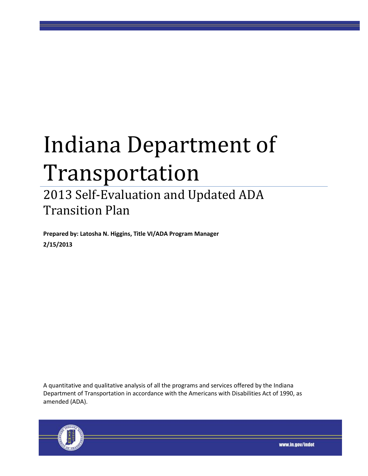# Indiana Department of Transportation

# 2013 Self-Evaluation and Updated ADA Transition Plan

**Prepared by: Latosha N. Higgins, Title VI/ADA Program Manager 2/15/2013**

A quantitative and qualitative analysis of all the programs and services offered by the Indiana Department of Transportation in accordance with the Americans with Disabilities Act of 1990, as amended (ADA).



www.in.gov/indot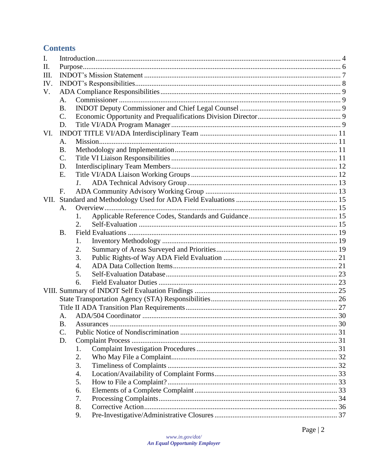# **Contents**

| $\mathbf{I}$ . |                 |            |  |  |  |
|----------------|-----------------|------------|--|--|--|
| Π.             |                 |            |  |  |  |
| Ш.             |                 |            |  |  |  |
| IV.            |                 |            |  |  |  |
| V.             |                 |            |  |  |  |
|                | A.              |            |  |  |  |
|                | <b>B.</b>       |            |  |  |  |
|                | $\mathcal{C}$ . |            |  |  |  |
|                | D.              |            |  |  |  |
| VI.            |                 |            |  |  |  |
|                | A.              |            |  |  |  |
|                | <b>B.</b>       |            |  |  |  |
|                | C.              |            |  |  |  |
|                | D.              |            |  |  |  |
|                | Ε.              |            |  |  |  |
|                |                 |            |  |  |  |
|                | F.              |            |  |  |  |
|                |                 |            |  |  |  |
|                | A.              |            |  |  |  |
|                |                 |            |  |  |  |
|                |                 | 2.         |  |  |  |
|                | <b>B.</b>       |            |  |  |  |
|                |                 | 1.         |  |  |  |
|                |                 | 2.         |  |  |  |
|                |                 | 3.         |  |  |  |
|                |                 | 4.         |  |  |  |
|                |                 | 5.         |  |  |  |
|                |                 | 6.         |  |  |  |
|                |                 |            |  |  |  |
|                |                 |            |  |  |  |
|                |                 |            |  |  |  |
|                | A.              |            |  |  |  |
|                | B.              | Assurances |  |  |  |
|                | C.              |            |  |  |  |
|                | D.              |            |  |  |  |
|                |                 | 1.         |  |  |  |
|                |                 | 2.         |  |  |  |
|                |                 | 3.         |  |  |  |
|                |                 | 4.         |  |  |  |
|                |                 | 5.         |  |  |  |
|                |                 | 6.         |  |  |  |
|                |                 | 7.         |  |  |  |
|                |                 | 8.         |  |  |  |
|                |                 | 9.         |  |  |  |
|                |                 |            |  |  |  |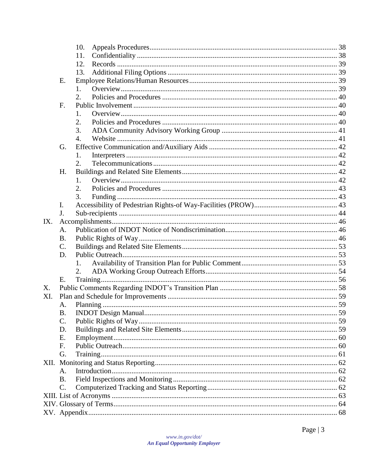|     |                 | 10. |  |  |  |
|-----|-----------------|-----|--|--|--|
|     |                 | 11. |  |  |  |
|     |                 | 12. |  |  |  |
|     |                 | 13. |  |  |  |
|     | Ε.              |     |  |  |  |
|     |                 | 1.  |  |  |  |
|     |                 | 2.  |  |  |  |
|     | F.              |     |  |  |  |
|     |                 | 1.  |  |  |  |
|     |                 | 2.  |  |  |  |
|     |                 | 3.  |  |  |  |
|     |                 | 4.  |  |  |  |
|     | G.              |     |  |  |  |
|     |                 | 1.  |  |  |  |
|     |                 | 2.  |  |  |  |
|     | H.              |     |  |  |  |
|     |                 | 1.  |  |  |  |
|     |                 | 2.  |  |  |  |
|     |                 | 3.  |  |  |  |
|     | $\mathbf{I}$ .  |     |  |  |  |
|     | J.              |     |  |  |  |
| IX. |                 |     |  |  |  |
|     | A.              |     |  |  |  |
|     | <b>B.</b>       |     |  |  |  |
|     | $\mathbf{C}$ .  |     |  |  |  |
|     | D.              |     |  |  |  |
|     |                 |     |  |  |  |
|     |                 | 2.  |  |  |  |
|     | Ε.              |     |  |  |  |
| X.  |                 |     |  |  |  |
| XI. |                 |     |  |  |  |
|     | A.              |     |  |  |  |
|     | <b>B.</b>       |     |  |  |  |
|     | $\mathcal{C}$ . |     |  |  |  |
|     | D.              |     |  |  |  |
|     | Ε.              |     |  |  |  |
|     | F.              |     |  |  |  |
|     | G.              |     |  |  |  |
|     |                 |     |  |  |  |
|     | A.              |     |  |  |  |
|     | B.              |     |  |  |  |
|     | C.              |     |  |  |  |
|     |                 |     |  |  |  |
|     |                 |     |  |  |  |
|     |                 |     |  |  |  |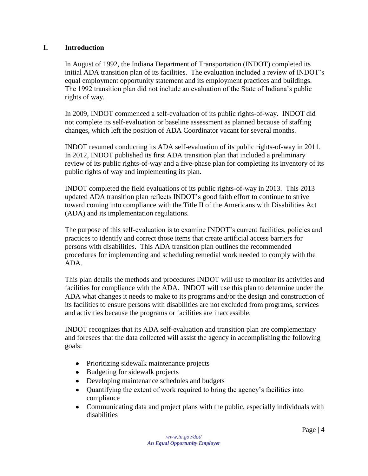#### <span id="page-3-0"></span>**I. Introduction**

In August of 1992, the Indiana Department of Transportation (INDOT) completed its initial ADA transition plan of its facilities. The evaluation included a review of INDOT's equal employment opportunity statement and its employment practices and buildings. The 1992 transition plan did not include an evaluation of the State of Indiana's public rights of way.

In 2009, INDOT commenced a self-evaluation of its public rights-of-way. INDOT did not complete its self-evaluation or baseline assessment as planned because of staffing changes, which left the position of ADA Coordinator vacant for several months.

INDOT resumed conducting its ADA self-evaluation of its public rights-of-way in 2011. In 2012, INDOT published its first ADA transition plan that included a preliminary review of its public rights-of-way and a five-phase plan for completing its inventory of its public rights of way and implementing its plan.

INDOT completed the field evaluations of its public rights-of-way in 2013. This 2013 updated ADA transition plan reflects INDOT's good faith effort to continue to strive toward coming into compliance with the Title II of the Americans with Disabilities Act (ADA) and its implementation regulations.

The purpose of this self-evaluation is to examine INDOT's current facilities, policies and practices to identify and correct those items that create artificial access barriers for persons with disabilities. This ADA transition plan outlines the recommended procedures for implementing and scheduling remedial work needed to comply with the ADA.

This plan details the methods and procedures INDOT will use to monitor its activities and facilities for compliance with the ADA. INDOT will use this plan to determine under the ADA what changes it needs to make to its programs and/or the design and construction of its facilities to ensure persons with disabilities are not excluded from programs, services and activities because the programs or facilities are inaccessible.

INDOT recognizes that its ADA self-evaluation and transition plan are complementary and foresees that the data collected will assist the agency in accomplishing the following goals:

- Prioritizing sidewalk maintenance projects
- Budgeting for sidewalk projects
- Developing maintenance schedules and budgets
- Quantifying the extent of work required to bring the agency's facilities into compliance
- Communicating data and project plans with the public, especially individuals with  $\bullet$ disabilities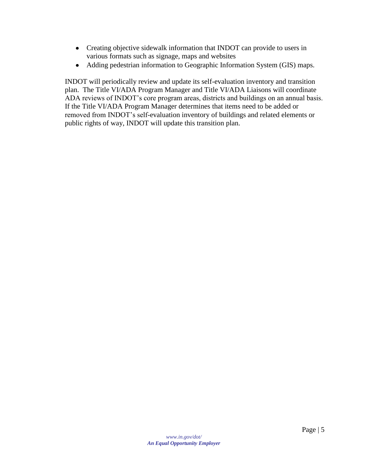- Creating objective sidewalk information that INDOT can provide to users in various formats such as signage, maps and websites
- Adding pedestrian information to Geographic Information System (GIS) maps.

INDOT will periodically review and update its self-evaluation inventory and transition plan. The Title VI/ADA Program Manager and Title VI/ADA Liaisons will coordinate ADA reviews of INDOT's core program areas, districts and buildings on an annual basis. If the Title VI/ADA Program Manager determines that items need to be added or removed from INDOT's self-evaluation inventory of buildings and related elements or public rights of way, INDOT will update this transition plan.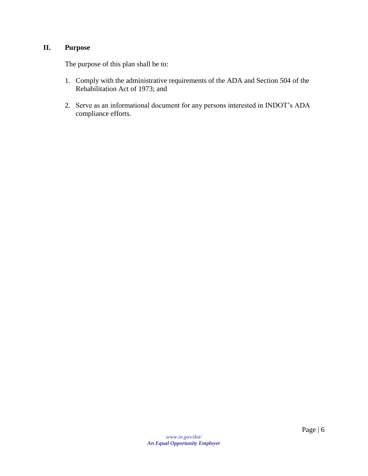#### <span id="page-5-0"></span>**II. Purpose**

The purpose of this plan shall be to:

- 1. Comply with the administrative requirements of the ADA and Section 504 of the Rehabilitation Act of 1973; and
- 2. Serve as an informational document for any persons interested in INDOT's ADA compliance efforts.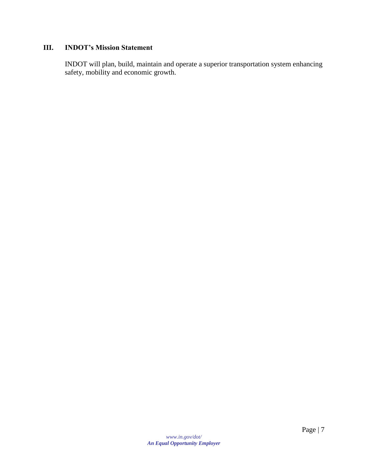#### <span id="page-6-0"></span>**III. INDOT's Mission Statement**

INDOT will plan, build, maintain and operate a superior transportation system enhancing safety, mobility and economic growth.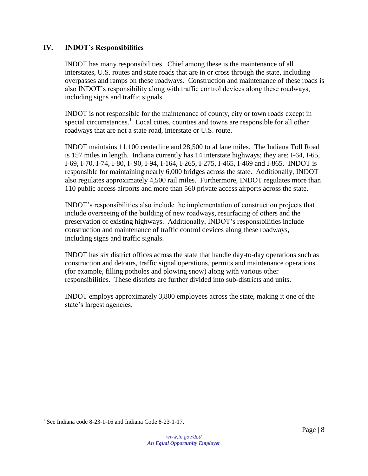#### <span id="page-7-0"></span>**IV. INDOT's Responsibilities**

INDOT has many responsibilities. Chief among these is the maintenance of all interstates, U.S. routes and state roads that are in or cross through the state, including overpasses and ramps on these roadways. Construction and maintenance of these roads is also INDOT's responsibility along with traffic control devices along these roadways, including signs and traffic signals.

INDOT is not responsible for the maintenance of county, city or town roads except in special circumstances.<sup>1</sup> Local cities, counties and towns are responsible for all other roadways that are not a state road, interstate or U.S. route.

INDOT maintains 11,100 centerline and 28,500 total lane miles. The Indiana Toll Road is 157 miles in length. Indiana currently has 14 interstate highways; they are: I-64, I-65, I-69, I-70, I-74, I-80, I- 90, I-94, I-164, I-265, I-275, I-465, I-469 and I-865. INDOT is responsible for maintaining nearly 6,000 bridges across the state. Additionally, INDOT also regulates approximately 4,500 rail miles. Furthermore, INDOT regulates more than 110 public access airports and more than 560 private access airports across the state.

INDOT's responsibilities also include the implementation of construction projects that include overseeing of the building of new roadways, resurfacing of others and the preservation of existing highways. Additionally, INDOT's responsibilities include construction and maintenance of traffic control devices along these roadways, including signs and traffic signals.

INDOT has six district offices across the state that handle day-to-day operations such as construction and detours, traffic signal operations, permits and maintenance operations (for example, filling potholes and plowing snow) along with various other responsibilities. These districts are further divided into sub-districts and units.

INDOT employs approximately 3,800 employees across the state, making it one of the state's largest agencies.

 1 See Indiana code 8-23-1-16 and Indiana Code 8-23-1-17.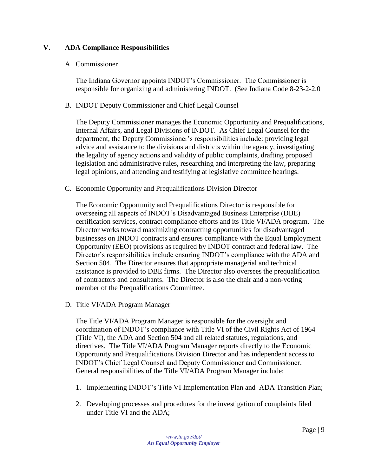#### <span id="page-8-1"></span><span id="page-8-0"></span>**V. ADA Compliance Responsibilities**

#### A. Commissioner

The Indiana Governor appoints INDOT's Commissioner. The Commissioner is responsible for organizing and administering INDOT. (See Indiana Code 8-23-2-2.0

#### <span id="page-8-2"></span>B. INDOT Deputy Commissioner and Chief Legal Counsel

The Deputy Commissioner manages the Economic Opportunity and Prequalifications, Internal Affairs, and Legal Divisions of INDOT. As Chief Legal Counsel for the department, the Deputy Commissioner's responsibilities include: providing legal advice and assistance to the divisions and districts within the agency, investigating the legality of agency actions and validity of public complaints, drafting proposed legislation and administrative rules, researching and interpreting the law, preparing legal opinions, and attending and testifying at legislative committee hearings.

<span id="page-8-3"></span>C. Economic Opportunity and Prequalifications Division Director

The Economic Opportunity and Prequalifications Director is responsible for overseeing all aspects of INDOT's Disadvantaged Business Enterprise (DBE) certification services, contract compliance efforts and its Title VI/ADA program. The Director works toward maximizing contracting opportunities for disadvantaged businesses on INDOT contracts and ensures compliance with the Equal Employment Opportunity (EEO) provisions as required by INDOT contract and federal law. The Director's responsibilities include ensuring INDOT's compliance with the ADA and Section 504. The Director ensures that appropriate managerial and technical assistance is provided to DBE firms. The Director also oversees the prequalification of contractors and consultants. The Director is also the chair and a non-voting member of the Prequalifications Committee.

<span id="page-8-4"></span>D. Title VI/ADA Program Manager

The Title VI/ADA Program Manager is responsible for the oversight and coordination of INDOT's compliance with Title VI of the Civil Rights Act of 1964 (Title VI), the ADA and Section 504 and all related statutes, regulations, and directives. The Title VI/ADA Program Manager reports directly to the Economic Opportunity and Prequalifications Division Director and has independent access to INDOT's Chief Legal Counsel and Deputy Commissioner and Commissioner. General responsibilities of the Title VI/ADA Program Manager include:

- 1. Implementing INDOT's Title VI Implementation Plan and ADA Transition Plan;
- 2. Developing processes and procedures for the investigation of complaints filed under Title VI and the ADA;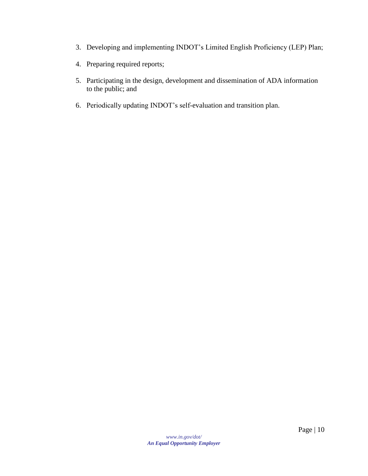- 3. Developing and implementing INDOT's Limited English Proficiency (LEP) Plan;
- 4. Preparing required reports;
- 5. Participating in the design, development and dissemination of ADA information to the public; and
- 6. Periodically updating INDOT's self-evaluation and transition plan.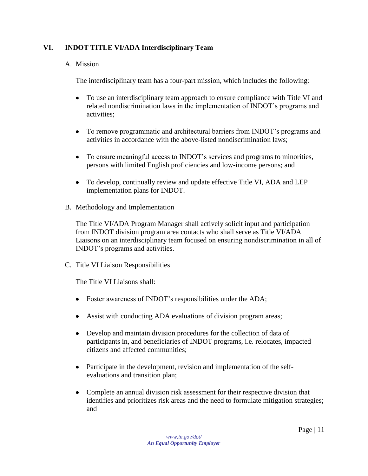#### <span id="page-10-1"></span><span id="page-10-0"></span>**VI. INDOT TITLE VI/ADA Interdisciplinary Team**

#### A. Mission

The interdisciplinary team has a four-part mission, which includes the following:

- To use an interdisciplinary team approach to ensure compliance with Title VI and  $\bullet$ related nondiscrimination laws in the implementation of INDOT's programs and activities;
- $\bullet$ To remove programmatic and architectural barriers from INDOT's programs and activities in accordance with the above-listed nondiscrimination laws;
- $\bullet$ To ensure meaningful access to INDOT's services and programs to minorities, persons with limited English proficiencies and low-income persons; and
- $\bullet$ To develop, continually review and update effective Title VI, ADA and LEP implementation plans for INDOT.
- <span id="page-10-2"></span>B. Methodology and Implementation

The Title VI/ADA Program Manager shall actively solicit input and participation from INDOT division program area contacts who shall serve as Title VI/ADA Liaisons on an interdisciplinary team focused on ensuring nondiscrimination in all of INDOT's programs and activities.

<span id="page-10-3"></span>C. Title VI Liaison Responsibilities

The Title VI Liaisons shall:

- Foster awareness of INDOT's responsibilities under the ADA;
- Assist with conducting ADA evaluations of division program areas;
- Develop and maintain division procedures for the collection of data of participants in, and beneficiaries of INDOT programs, i.e. relocates, impacted citizens and affected communities;
- $\bullet$ Participate in the development, revision and implementation of the selfevaluations and transition plan;
- $\bullet$ Complete an annual division risk assessment for their respective division that identifies and prioritizes risk areas and the need to formulate mitigation strategies; and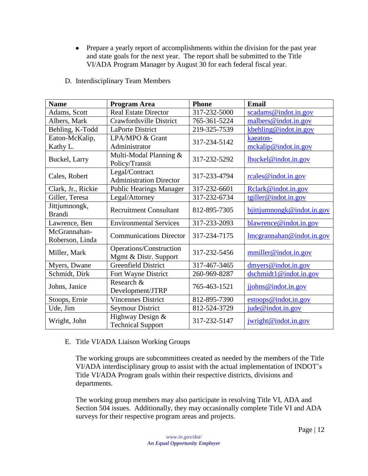• Prepare a yearly report of accomplishments within the division for the past year and state goals for the next year. The report shall be submitted to the Title VI/ADA Program Manager by August 30 for each federal fiscal year.

<span id="page-11-0"></span>

| <b>Name</b>                     | <b>Program Area</b>                              | <b>Phone</b> | <b>Email</b>                                                                  |
|---------------------------------|--------------------------------------------------|--------------|-------------------------------------------------------------------------------|
| Adams, Scott                    | <b>Real Estate Director</b>                      | 317-232-5000 | scadams@indot.in.gov                                                          |
| Albers, Mark                    | Crawfordsville District                          | 765-361-5224 | malbers@indot.in.gov                                                          |
| Behling, K-Todd                 | <b>LaPorte District</b>                          | 219-325-7539 | $k$ behling@indot.in.gov                                                      |
| Eaton-McKalip,                  | LPA/MPO & Grant                                  | 317-234-5142 | kaeaton-                                                                      |
| Kathy L.                        | Administrator                                    |              | mckalip@indot.in.gov                                                          |
| Buckel, Larry                   | Multi-Modal Planning &<br>Policy/Transit         | 317-232-5292 | lbuckel@indot.in.gov                                                          |
| Cales, Robert                   | Legal/Contract<br><b>Administration Director</b> | 317-233-4794 | rcales@indot.in.gov                                                           |
| Clark, Jr., Rickie              | <b>Public Hearings Manager</b>                   | 317-232-6601 | Relark@indot.in.gov                                                           |
| Giller, Teresa                  | Legal/Attorney                                   | 317-232-6734 | tgiller@indot.in.gov                                                          |
| Jittjumnongk,<br><b>Brandi</b>  | <b>Recruitment Consultant</b>                    | 812-895-7305 | bjittjumnongk@indot.in.gov                                                    |
| Lawrence, Ben                   | <b>Environmental Services</b>                    | 317-233-2093 | blawrence@indot.in.gov                                                        |
| McGrannahan-<br>Roberson, Linda | <b>Communications Director</b>                   | 317-234-7175 | $\frac{\text{Imcgrannahan}\omega_{\text{indot.in.gov}}}{\text{Imcgrannahan}}$ |
| Miller, Mark                    | Operations/Construction<br>Mgmt & Distr. Support | 317-232-5456 | mmiller@indot.in.gov                                                          |
| Myers, Dwane                    | <b>Greenfield District</b>                       | 317-467-3465 | dmvers@indot.in.gov                                                           |
| Schmidt, Dirk                   | Fort Wayne District                              | 260-969-8287 | $d$ schmidt1@indot.in.gov                                                     |
| Johns, Janice                   | Research &<br>Development/JTRP                   | 765-463-1521 | jjohns@indot.in.gov                                                           |
| Stoops, Ernie                   | <b>Vincennes District</b>                        | 812-895-7390 | estoops@indot.in.gov                                                          |
| Ude, Jim                        | <b>Seymour District</b>                          | 812-524-3729 | jude@indot.in.gov                                                             |
| Wright, John                    | Highway Design &<br><b>Technical Support</b>     | 317-232-5147 | jwright@indot.in.gov                                                          |

D. Interdisciplinary Team Members

#### <span id="page-11-1"></span>E. Title VI/ADA Liaison Working Groups

The working groups are subcommittees created as needed by the members of the Title VI/ADA interdisciplinary group to assist with the actual implementation of INDOT's Title VI/ADA Program goals within their respective districts, divisions and departments.

The working group members may also participate in resolving Title VI, ADA and Section 504 issues. Additionally, they may occasionally complete Title VI and ADA surveys for their respective program areas and projects.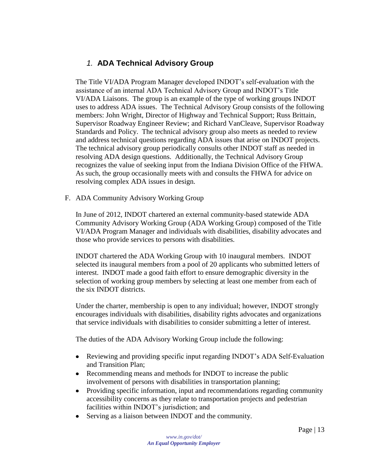### *1.* **ADA Technical Advisory Group**

<span id="page-12-0"></span>The Title VI/ADA Program Manager developed INDOT's self-evaluation with the assistance of an internal ADA Technical Advisory Group and INDOT's Title VI/ADA Liaisons. The group is an example of the type of working groups INDOT uses to address ADA issues. The Technical Advisory Group consists of the following members: John Wright, Director of Highway and Technical Support; Russ Brittain, Supervisor Roadway Engineer Review; and Richard VanCleave, Supervisor Roadway Standards and Policy. The technical advisory group also meets as needed to review and address technical questions regarding ADA issues that arise on INDOT projects. The technical advisory group periodically consults other INDOT staff as needed in resolving ADA design questions. Additionally, the Technical Advisory Group recognizes the value of seeking input from the Indiana Division Office of the FHWA. As such, the group occasionally meets with and consults the FHWA for advice on resolving complex ADA issues in design.

<span id="page-12-1"></span>F. ADA Community Advisory Working Group

In June of 2012, INDOT chartered an external community-based statewide ADA Community Advisory Working Group (ADA Working Group) composed of the Title VI/ADA Program Manager and individuals with disabilities, disability advocates and those who provide services to persons with disabilities.

INDOT chartered the ADA Working Group with 10 inaugural members. INDOT selected its inaugural members from a pool of 20 applicants who submitted letters of interest. INDOT made a good faith effort to ensure demographic diversity in the selection of working group members by selecting at least one member from each of the six INDOT districts.

Under the charter, membership is open to any individual; however, INDOT strongly encourages individuals with disabilities, disability rights advocates and organizations that service individuals with disabilities to consider submitting a letter of interest.

The duties of the ADA Advisory Working Group include the following:

- $\bullet$ Reviewing and providing specific input regarding INDOT's ADA Self-Evaluation and Transition Plan;
- $\bullet$ Recommending means and methods for INDOT to increase the public involvement of persons with disabilities in transportation planning;
- Providing specific information, input and recommendations regarding community  $\bullet$ accessibility concerns as they relate to transportation projects and pedestrian facilities within INDOT's jurisdiction; and
- $\bullet$ Serving as a liaison between INDOT and the community.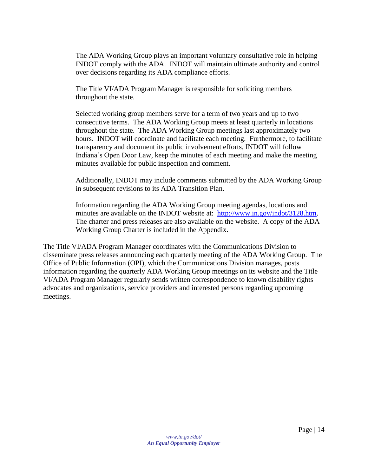The ADA Working Group plays an important voluntary consultative role in helping INDOT comply with the ADA. INDOT will maintain ultimate authority and control over decisions regarding its ADA compliance efforts.

The Title VI/ADA Program Manager is responsible for soliciting members throughout the state.

Selected working group members serve for a term of two years and up to two consecutive terms. The ADA Working Group meets at least quarterly in locations throughout the state. The ADA Working Group meetings last approximately two hours. INDOT will coordinate and facilitate each meeting. Furthermore, to facilitate transparency and document its public involvement efforts, INDOT will follow Indiana's Open Door Law, keep the minutes of each meeting and make the meeting minutes available for public inspection and comment.

Additionally, INDOT may include comments submitted by the ADA Working Group in subsequent revisions to its ADA Transition Plan.

Information regarding the ADA Working Group meeting agendas, locations and minutes are available on the INDOT website at: [http://www.in.gov/indot/3128.htm.](http://www.in.gov/indot/3128.htm) The charter and press releases are also available on the website. A copy of the ADA Working Group Charter is included in the Appendix.

The Title VI/ADA Program Manager coordinates with the Communications Division to disseminate press releases announcing each quarterly meeting of the ADA Working Group. The Office of Public Information (OPI), which the Communications Division manages, posts information regarding the quarterly ADA Working Group meetings on its website and the Title VI/ADA Program Manager regularly sends written correspondence to known disability rights advocates and organizations, service providers and interested persons regarding upcoming meetings.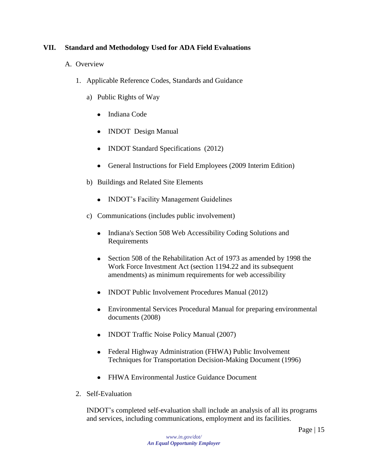#### <span id="page-14-1"></span><span id="page-14-0"></span>**VII. Standard and Methodology Used for ADA Field Evaluations**

- <span id="page-14-2"></span>A. Overview
	- 1. Applicable Reference Codes, Standards and Guidance
		- a) Public Rights of Way
			- Indiana Code
			- INDOT Design Manual
			- INDOT Standard Specifications (2012)
			- General Instructions for Field Employees (2009 Interim Edition)
		- b) Buildings and Related Site Elements
			- INDOT's Facility Management Guidelines
		- c) Communications (includes public involvement)
			- Indiana's Section 508 Web Accessibility Coding Solutions and  $\bullet$ Requirements
			- Section 508 of the Rehabilitation Act of 1973 as amended by 1998 the Work Force Investment Act (section 1194.22 and its subsequent amendments) as minimum requirements for web accessibility
			- INDOT Public Involvement Procedures Manual (2012)
			- Environmental Services Procedural Manual for preparing environmental documents (2008)
			- INDOT Traffic Noise Policy Manual (2007)
			- Federal Highway Administration (FHWA) Public Involvement Techniques for Transportation Decision-Making Document (1996)
			- FHWA Environmental Justice Guidance Document
	- 2. Self-Evaluation

<span id="page-14-3"></span>INDOT's completed self-evaluation shall include an analysis of all its programs and services, including communications, employment and its facilities.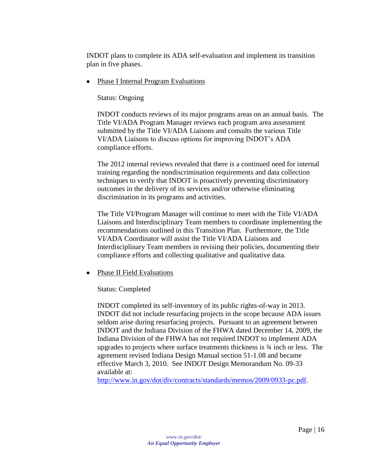INDOT plans to complete its ADA self-evaluation and implement its transition plan in five phases.

 $\bullet$ Phase I Internal Program Evaluations

Status: Ongoing

INDOT conducts reviews of its major programs areas on an annual basis. The Title VI/ADA Program Manager reviews each program area assessment submitted by the Title VI/ADA Liaisons and consults the various Title VI/ADA Liaisons to discuss options for improving INDOT's ADA compliance efforts.

The 2012 internal reviews revealed that there is a continued need for internal training regarding the nondiscrimination requirements and data collection techniques to verify that INDOT is proactively preventing discriminatory outcomes in the delivery of its services and/or otherwise eliminating discrimination in its programs and activities.

The Title VI/Program Manager will continue to meet with the Title VI/ADA Liaisons and Interdisciplinary Team members to coordinate implementing the recommendations outlined in this Transition Plan. Furthermore, the Title VI/ADA Coordinator will assist the Title VI/ADA Liaisons and Interdisciplinary Team members in revising their policies, documenting their compliance efforts and collecting qualitative and qualitative data.

• Phase II Field Evaluations

Status: Completed

INDOT completed its self-inventory of its public rights-of-way in 2013. INDOT did not include resurfacing projects in the scope because ADA issues seldom arise during resurfacing projects. Pursuant to an agreement between INDOT and the Indiana Division of the FHWA dated December 14, 2009, the Indiana Division of the FHWA has not required INDOT to implement ADA upgrades to projects where surface treatments thickness is ¾ inch or less. The agreement revised Indiana Design Manual section 51-1.08 and became effective March 3, 2010. See INDOT Design Memorandum No. 09-33 available at:

[http://www.in.gov/dot/div/contracts/standards/memos/2009/0933-pc.pdf.](http://www.in.gov/dot/div/contracts/standards/memos/2009/0933-pc.pdf)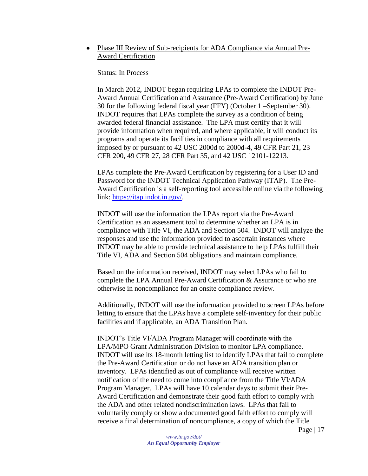• Phase III Review of Sub-recipients for ADA Compliance via Annual Pre-Award Certification

Status: In Process

In March 2012, INDOT began requiring LPAs to complete the INDOT Pre-Award Annual Certification and Assurance (Pre-Award Certification) by June 30 for the following federal fiscal year (FFY) (October 1 –September 30). INDOT requires that LPAs complete the survey as a condition of being awarded federal financial assistance. The LPA must certify that it will provide information when required, and where applicable, it will conduct its programs and operate its facilities in compliance with all requirements imposed by or pursuant to 42 USC 2000d to 2000d-4, 49 CFR Part 21, 23 CFR 200, 49 CFR 27, 28 CFR Part 35, and 42 USC 12101-12213.

LPAs complete the Pre-Award Certification by registering for a User ID and Password for the INDOT Technical Application Pathway (ITAP). The Pre-Award Certification is a self-reporting tool accessible online via the following link: [https://itap.indot.in.gov/.](https://itap.indot.in.gov/)

INDOT will use the information the LPAs report via the Pre-Award Certification as an assessment tool to determine whether an LPA is in compliance with Title VI, the ADA and Section 504. INDOT will analyze the responses and use the information provided to ascertain instances where INDOT may be able to provide technical assistance to help LPAs fulfill their Title VI, ADA and Section 504 obligations and maintain compliance.

Based on the information received, INDOT may select LPAs who fail to complete the LPA Annual Pre-Award Certification & Assurance or who are otherwise in noncompliance for an onsite compliance review.

Additionally, INDOT will use the information provided to screen LPAs before letting to ensure that the LPAs have a complete self-inventory for their public facilities and if applicable, an ADA Transition Plan.

INDOT's Title VI/ADA Program Manager will coordinate with the LPA/MPO Grant Administration Division to monitor LPA compliance. INDOT will use its 18-month letting list to identify LPAs that fail to complete the Pre-Award Certification or do not have an ADA transition plan or inventory. LPAs identified as out of compliance will receive written notification of the need to come into compliance from the Title VI/ADA Program Manager. LPAs will have 10 calendar days to submit their Pre-Award Certification and demonstrate their good faith effort to comply with the ADA and other related nondiscrimination laws. LPAs that fail to voluntarily comply or show a documented good faith effort to comply will receive a final determination of noncompliance, a copy of which the Title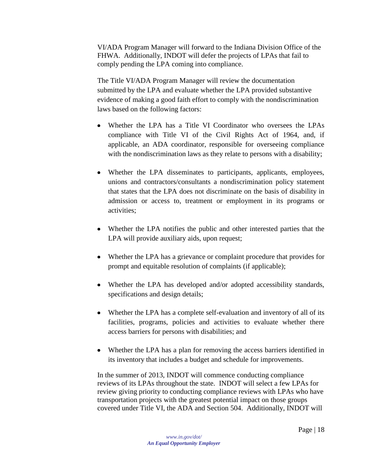VI/ADA Program Manager will forward to the Indiana Division Office of the FHWA. Additionally, INDOT will defer the projects of LPAs that fail to comply pending the LPA coming into compliance.

The Title VI/ADA Program Manager will review the documentation submitted by the LPA and evaluate whether the LPA provided substantive evidence of making a good faith effort to comply with the nondiscrimination laws based on the following factors:

- Whether the LPA has a Title VI Coordinator who oversees the LPAs compliance with Title VI of the Civil Rights Act of 1964, and, if applicable, an ADA coordinator, responsible for overseeing compliance with the nondiscrimination laws as they relate to persons with a disability;
- Whether the LPA disseminates to participants, applicants, employees, unions and contractors/consultants a nondiscrimination policy statement that states that the LPA does not discriminate on the basis of disability in admission or access to, treatment or employment in its programs or activities;
- Whether the LPA notifies the public and other interested parties that the LPA will provide auxiliary aids, upon request;
- Whether the LPA has a grievance or complaint procedure that provides for prompt and equitable resolution of complaints (if applicable);
- Whether the LPA has developed and/or adopted accessibility standards, specifications and design details;
- Whether the LPA has a complete self-evaluation and inventory of all of its facilities, programs, policies and activities to evaluate whether there access barriers for persons with disabilities; and
- Whether the LPA has a plan for removing the access barriers identified in its inventory that includes a budget and schedule for improvements.

In the summer of 2013, INDOT will commence conducting compliance reviews of its LPAs throughout the state. INDOT will select a few LPAs for review giving priority to conducting compliance reviews with LPAs who have transportation projects with the greatest potential impact on those groups covered under Title VI, the ADA and Section 504. Additionally, INDOT will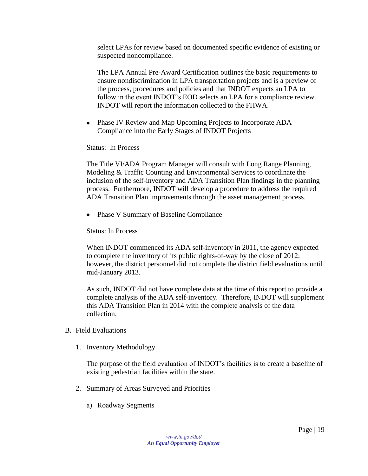select LPAs for review based on documented specific evidence of existing or suspected noncompliance.

The LPA Annual Pre-Award Certification outlines the basic requirements to ensure nondiscrimination in LPA transportation projects and is a preview of the process, procedures and policies and that INDOT expects an LPA to follow in the event INDOT's EOD selects an LPA for a compliance review. INDOT will report the information collected to the FHWA.

• Phase IV Review and Map Upcoming Projects to Incorporate ADA Compliance into the Early Stages of INDOT Projects

Status: In Process

The Title VI/ADA Program Manager will consult with Long Range Planning, Modeling & Traffic Counting and Environmental Services to coordinate the inclusion of the self-inventory and ADA Transition Plan findings in the planning process. Furthermore, INDOT will develop a procedure to address the required ADA Transition Plan improvements through the asset management process.

• Phase V Summary of Baseline Compliance

Status: In Process

When INDOT commenced its ADA self-inventory in 2011, the agency expected to complete the inventory of its public rights-of-way by the close of 2012; however, the district personnel did not complete the district field evaluations until mid-January 2013.

As such, INDOT did not have complete data at the time of this report to provide a complete analysis of the ADA self-inventory. Therefore, INDOT will supplement this ADA Transition Plan in 2014 with the complete analysis of the data collection.

- <span id="page-18-1"></span><span id="page-18-0"></span>B. Field Evaluations
	- 1. Inventory Methodology

The purpose of the field evaluation of INDOT's facilities is to create a baseline of existing pedestrian facilities within the state.

- <span id="page-18-2"></span>2. Summary of Areas Surveyed and Priorities
	- a) Roadway Segments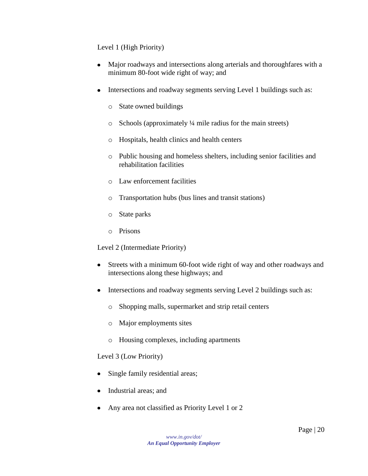Level 1 (High Priority)

- Major roadways and intersections along arterials and thoroughfares with a minimum 80-foot wide right of way; and
- Intersections and roadway segments serving Level 1 buildings such as:
	- o State owned buildings
	- o Schools (approximately ¼ mile radius for the main streets)
	- o Hospitals, health clinics and health centers
	- o Public housing and homeless shelters, including senior facilities and rehabilitation facilities
	- o Law enforcement facilities
	- o Transportation hubs (bus lines and transit stations)
	- o State parks
	- o Prisons

Level 2 (Intermediate Priority)

- Streets with a minimum 60-foot wide right of way and other roadways and  $\bullet$ intersections along these highways; and
- Intersections and roadway segments serving Level 2 buildings such as:  $\bullet$ 
	- o Shopping malls, supermarket and strip retail centers
	- o Major employments sites
	- o Housing complexes, including apartments

#### Level 3 (Low Priority)

- Single family residential areas;
- Industrial areas; and
- Any area not classified as Priority Level 1 or 2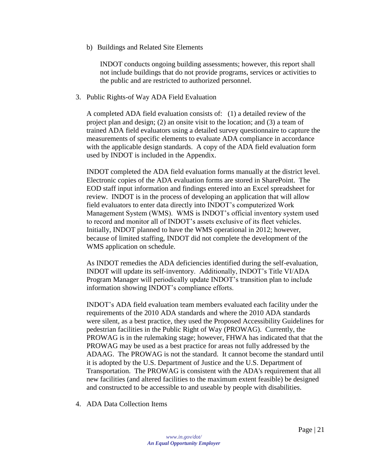b) Buildings and Related Site Elements

INDOT conducts ongoing building assessments; however, this report shall not include buildings that do not provide programs, services or activities to the public and are restricted to authorized personnel.

<span id="page-20-0"></span>3. Public Rights-of Way ADA Field Evaluation

A completed ADA field evaluation consists of: (1) a detailed review of the project plan and design; (2) an onsite visit to the location; and (3) a team of trained ADA field evaluators using a detailed survey questionnaire to capture the measurements of specific elements to evaluate ADA compliance in accordance with the applicable design standards. A copy of the ADA field evaluation form used by INDOT is included in the Appendix.

INDOT completed the ADA field evaluation forms manually at the district level. Electronic copies of the ADA evaluation forms are stored in SharePoint. The EOD staff input information and findings entered into an Excel spreadsheet for review. INDOT is in the process of developing an application that will allow field evaluators to enter data directly into INDOT's computerized Work Management System (WMS). WMS is INDOT's official inventory system used to record and monitor all of INDOT's assets exclusive of its fleet vehicles. Initially, INDOT planned to have the WMS operational in 2012; however, because of limited staffing, INDOT did not complete the development of the WMS application on schedule.

As INDOT remedies the ADA deficiencies identified during the self-evaluation, INDOT will update its self-inventory. Additionally, INDOT's Title VI/ADA Program Manager will periodically update INDOT's transition plan to include information showing INDOT's compliance efforts.

INDOT's ADA field evaluation team members evaluated each facility under the requirements of the 2010 ADA standards and where the 2010 ADA standards were silent, as a best practice, they used the Proposed Accessibility Guidelines for pedestrian facilities in the Public Right of Way (PROWAG). Currently, the PROWAG is in the rulemaking stage; however, FHWA has indicated that that the PROWAG may be used as a best practice for areas not fully addressed by the ADAAG. The PROWAG is not the standard. It cannot become the standard until it is adopted by the U.S. Department of Justice and the U.S. Department of Transportation. The PROWAG is consistent with the ADA's requirement that all new facilities (and altered facilities to the maximum extent feasible) be designed and constructed to be accessible to and useable by people with disabilities.

<span id="page-20-1"></span>4. ADA Data Collection Items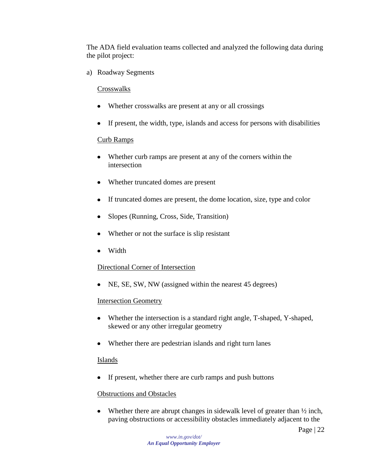The ADA field evaluation teams collected and analyzed the following data during the pilot project:

a) Roadway Segments

#### **Crosswalks**

- Whether crosswalks are present at any or all crossings
- If present, the width, type, islands and access for persons with disabilities

#### Curb Ramps

- Whether curb ramps are present at any of the corners within the intersection
- Whether truncated domes are present
- If truncated domes are present, the dome location, size, type and color
- Slopes (Running, Cross, Side, Transition)
- Whether or not the surface is slip resistant
- Width

#### Directional Corner of Intersection

• NE, SE, SW, NW (assigned within the nearest 45 degrees)

#### Intersection Geometry

- Whether the intersection is a standard right angle, T-shaped, Y-shaped, skewed or any other irregular geometry
- Whether there are pedestrian islands and right turn lanes

#### Islands

• If present, whether there are curb ramps and push buttons

#### Obstructions and Obstacles

Whether there are abrupt changes in sidewalk level of greater than  $\frac{1}{2}$  inch,  $\bullet$ paving obstructions or accessibility obstacles immediately adjacent to the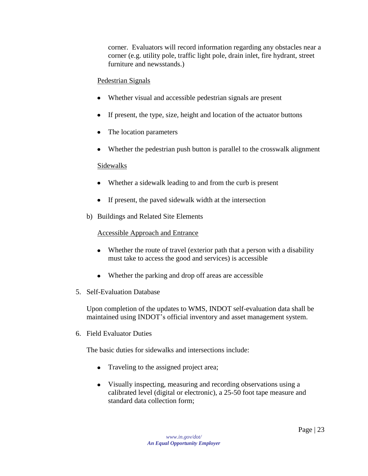corner. Evaluators will record information regarding any obstacles near a corner (e.g. utility pole, traffic light pole, drain inlet, fire hydrant, street furniture and newsstands.)

#### Pedestrian Signals

- Whether visual and accessible pedestrian signals are present
- If present, the type, size, height and location of the actuator buttons
- The location parameters  $\bullet$
- Whether the pedestrian push button is parallel to the crosswalk alignment

#### Sidewalks

- Whether a sidewalk leading to and from the curb is present
- If present, the paved sidewalk width at the intersection
- b) Buildings and Related Site Elements

#### Accessible Approach and Entrance

- Whether the route of travel (exterior path that a person with a disability must take to access the good and services) is accessible
- Whether the parking and drop off areas are accessible
- <span id="page-22-0"></span>5. Self-Evaluation Database

Upon completion of the updates to WMS, INDOT self-evaluation data shall be maintained using INDOT's official inventory and asset management system.

<span id="page-22-1"></span>6. Field Evaluator Duties

The basic duties for sidewalks and intersections include:

- Traveling to the assigned project area;
- Visually inspecting, measuring and recording observations using a calibrated level (digital or electronic), a 25-50 foot tape measure and standard data collection form;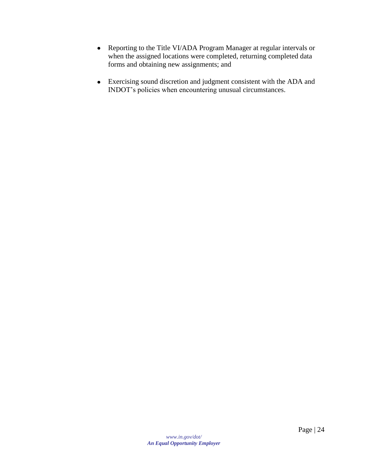- Reporting to the Title VI/ADA Program Manager at regular intervals or when the assigned locations were completed, returning completed data forms and obtaining new assignments; and
- Exercising sound discretion and judgment consistent with the ADA and INDOT's policies when encountering unusual circumstances.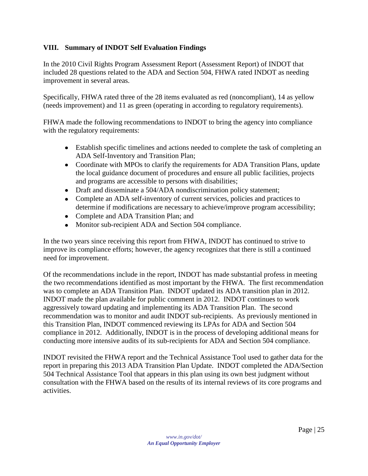#### <span id="page-24-0"></span>**VIII. Summary of INDOT Self Evaluation Findings**

In the 2010 Civil Rights Program Assessment Report (Assessment Report) of INDOT that included 28 questions related to the ADA and Section 504, FHWA rated INDOT as needing improvement in several areas.

Specifically, FHWA rated three of the 28 items evaluated as red (noncompliant), 14 as yellow (needs improvement) and 11 as green (operating in according to regulatory requirements).

FHWA made the following recommendations to INDOT to bring the agency into compliance with the regulatory requirements:

- Establish specific timelines and actions needed to complete the task of completing an ADA Self-Inventory and Transition Plan;
- Coordinate with MPOs to clarify the requirements for ADA Transition Plans, update the local guidance document of procedures and ensure all public facilities, projects and programs are accessible to persons with disabilities;
- Draft and disseminate a 504/ADA nondiscrimination policy statement;
- Complete an ADA self-inventory of current services, policies and practices to determine if modifications are necessary to achieve/improve program accessibility;
- Complete and ADA Transition Plan; and
- Monitor sub-recipient ADA and Section 504 compliance.

In the two years since receiving this report from FHWA, INDOT has continued to strive to improve its compliance efforts; however, the agency recognizes that there is still a continued need for improvement.

Of the recommendations include in the report, INDOT has made substantial profess in meeting the two recommendations identified as most important by the FHWA. The first recommendation was to complete an ADA Transition Plan. INDOT updated its ADA transition plan in 2012. INDOT made the plan available for public comment in 2012. INDOT continues to work aggressively toward updating and implementing its ADA Transition Plan. The second recommendation was to monitor and audit INDOT sub-recipients. As previously mentioned in this Transition Plan, INDOT commenced reviewing its LPAs for ADA and Section 504 compliance in 2012. Additionally, INDOT is in the process of developing additional means for conducting more intensive audits of its sub-recipients for ADA and Section 504 compliance.

INDOT revisited the FHWA report and the Technical Assistance Tool used to gather data for the report in preparing this 2013 ADA Transition Plan Update. INDOT completed the ADA/Section 504 Technical Assistance Tool that appears in this plan using its own best judgment without consultation with the FHWA based on the results of its internal reviews of its core programs and activities.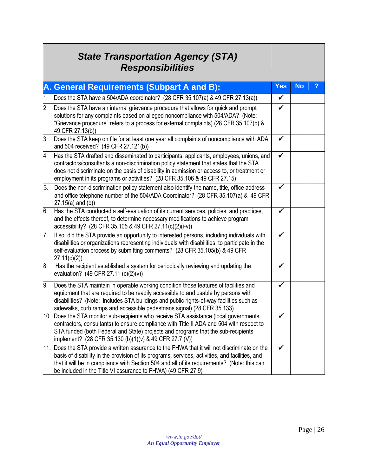# *State Transportation Agency (STA) Responsibilities*

<span id="page-25-0"></span>

|                  | A. General Requirements (Subpart A and B):                                                                                                                                                                                                                                                                                                                      | <b>Yes</b> | No |  |
|------------------|-----------------------------------------------------------------------------------------------------------------------------------------------------------------------------------------------------------------------------------------------------------------------------------------------------------------------------------------------------------------|------------|----|--|
| 1.               | Does the STA have a 504/ADA coordinator? (28 CFR 35.107(a) & 49 CFR 27.13(a))                                                                                                                                                                                                                                                                                   | ✓          |    |  |
| $\overline{2}$ . | Does the STA have an internal grievance procedure that allows for quick and prompt<br>solutions for any complaints based on alleged noncompliance with 504/ADA? (Note:<br>"Grievance procedure" refers to a process for external complaints) (28 CFR 35.107(b) &<br>49 CFR 27.13(b))                                                                            | ✓          |    |  |
| 3.               | Does the STA keep on file for at least one year all complaints of noncompliance with ADA<br>and 504 received? (49 CFR 27.121(b))                                                                                                                                                                                                                                | ✓          |    |  |
| 4.               | Has the STA drafted and disseminated to participants, applicants, employees, unions, and<br>contractors/consultants a non-discrimination policy statement that states that the STA<br>does not discriminate on the basis of disability in admission or access to, or treatment or<br>employment in its programs or activities? (28 CFR 35.106 & 49 CFR 27.15)   |            |    |  |
|                  | 5. Does the non-discrimination policy statement also identify the name, title, office address<br>and office telephone number of the 504/ADA Coordinator? (28 CFR 35.107(a) & 49 CFR<br>$27.15(a)$ and (b))                                                                                                                                                      | ✓          |    |  |
| 6.               | Has the STA conducted a self-evaluation of its current services, policies, and practices,<br>and the effects thereof, to determine necessary modifications to achieve program<br>accessibility? (28 CFR 35.105 & 49 CFR 27.11(c)(2)(i-v))                                                                                                                       | ✓          |    |  |
| 7.               | If so, did the STA provide an opportunity to interested persons, including individuals with<br>disabilities or organizations representing individuals with disabilities, to participate in the<br>self-evaluation process by submitting comments? (28 CFR 35.105(b) & 49 CFR<br>27.11(c)(2)                                                                     |            |    |  |
| 8.               | Has the recipient established a system for periodically reviewing and updating the<br>evaluation? (49 CFR 27.11 (c)(2)(v))                                                                                                                                                                                                                                      |            |    |  |
| 19.              | Does the STA maintain in operable working condition those features of facilities and<br>equipment that are required to be readily accessible to and usable by persons with<br>disabilities? (Note: includes STA buildings and public rights-of-way facilities such as<br>sidewalks, curb ramps and accessible pedestrians signal) (28 CFR 35.133)               |            |    |  |
|                  | 10. Does the STA monitor sub-recipients who receive STA assistance (local governments,<br>contractors, consultants) to ensure compliance with Title II ADA and 504 with respect to<br>STA funded (both Federal and State) projects and programs that the sub-recipients<br>implement? (28 CFR 35.130 (b)(1)(v) & 49 CFR 27.7 (V))                               |            |    |  |
|                  | 11. Does the STA provide a written assurance to the FHWA that it will not discriminate on the<br>basis of disability in the provision of its programs, services, activities, and facilities, and<br>that it will be in compliance with Section 504 and all of its requirements? (Note: this can<br>be included in the Title VI assurance to FHWA) (49 CFR 27.9) |            |    |  |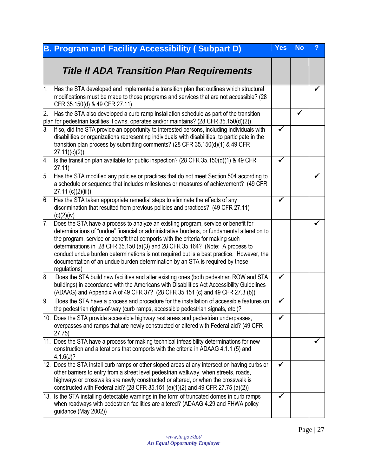<span id="page-26-0"></span>

|    | <b>B. Program and Facility Accessibility (Subpart D)</b>                                                                                                                                                                                                                                                                                                                                                                                                                                                                                           | <b>Yes</b> | <b>No</b> | ? |
|----|----------------------------------------------------------------------------------------------------------------------------------------------------------------------------------------------------------------------------------------------------------------------------------------------------------------------------------------------------------------------------------------------------------------------------------------------------------------------------------------------------------------------------------------------------|------------|-----------|---|
|    | <b>Title II ADA Transition Plan Requirements</b>                                                                                                                                                                                                                                                                                                                                                                                                                                                                                                   |            |           |   |
| 1. | Has the STA developed and implemented a transition plan that outlines which structural<br>modifications must be made to those programs and services that are not accessible? (28<br>CFR 35.150(d) & 49 CFR 27.11)                                                                                                                                                                                                                                                                                                                                  |            |           |   |
| 2. | Has the STA also developed a curb ramp installation schedule as part of the transition<br>plan for pedestrian facilities it owns, operates and/or maintains? (28 CFR 35.150(d)(2))                                                                                                                                                                                                                                                                                                                                                                 |            | ✔         |   |
| 3. | If so, did the STA provide an opportunity to interested persons, including individuals with<br>disabilities or organizations representing individuals with disabilities, to participate in the<br>transition plan process by submitting comments? (28 CFR 35.150(d)(1) & 49 CFR<br>27.11)(c)(2)                                                                                                                                                                                                                                                    |            |           |   |
| 4. | Is the transition plan available for public inspection? (28 CFR 35.150(d)(1) & 49 CFR<br>27.11)                                                                                                                                                                                                                                                                                                                                                                                                                                                    | ✔          |           |   |
| 5. | Has the STA modified any policies or practices that do not meet Section 504 according to<br>a schedule or sequence that includes milestones or measures of achievement? (49 CFR<br>$27.11$ (c)(2)(iii))                                                                                                                                                                                                                                                                                                                                            |            |           |   |
| 6. | Has the STA taken appropriate remedial steps to eliminate the effects of any<br>discrimination that resulted from previous policies and practices? (49 CFR 27.11)<br>(c)(2)(iv)                                                                                                                                                                                                                                                                                                                                                                    |            |           |   |
| 7. | Does the STA have a process to analyze an existing program, service or benefit for<br>determinations of "undue" financial or administrative burdens, or fundamental alteration to<br>the program, service or benefit that comports with the criteria for making such<br>determinations in 28 CFR 35.150 (a)(3) and 28 CFR 35.164? (Note: A process to<br>conduct undue burden determinations is not required but is a best practice. However, the<br>documentation of an undue burden determination by an STA is required by these<br>regulations) |            |           |   |
| 8. | Does the STA build new facilities and alter existing ones (both pedestrian ROW and STA<br>buildings) in accordance with the Americans with Disabilities Act Accessibility Guidelines<br>(ADAAG) and Appendix A of 49 CFR 37? (28 CFR 35.151 (c) and 49 CFR 27.3 (b))                                                                                                                                                                                                                                                                               | ✓          |           |   |
| 9. | Does the STA have a process and procedure for the installation of accessible features on<br>the pedestrian rights-of-way (curb ramps, accessible pedestrian signals, etc.)?                                                                                                                                                                                                                                                                                                                                                                        | ✔          |           |   |
|    | 10. Does the STA provide accessible highway rest areas and pedestrian underpasses,<br>overpasses and ramps that are newly constructed or altered with Federal aid? (49 CFR<br>27.75                                                                                                                                                                                                                                                                                                                                                                |            |           |   |
|    | 11. Does the STA have a process for making technical infeasibility determinations for new<br>construction and alterations that comports with the criteria in ADAAG 4.1.1 (5) and<br>4.1.6(J)?                                                                                                                                                                                                                                                                                                                                                      |            |           |   |
|    | 12. Does the STA install curb ramps or other sloped areas at any intersection having curbs or<br>other barriers to entry from a street level pedestrian walkway, when streets, roads,<br>highways or crosswalks are newly constructed or altered, or when the crosswalk is<br>constructed with Federal aid? (28 CFR 35.151 (e)(1)(2) and 49 CFR 27.75 (a)(2))                                                                                                                                                                                      |            |           |   |
|    | 13. Is the STA installing detectable warnings in the form of truncated domes in curb ramps<br>when roadways with pedestrian facilities are altered? (ADAAG 4.29 and FHWA policy<br>guidance (May 2002))                                                                                                                                                                                                                                                                                                                                            |            |           |   |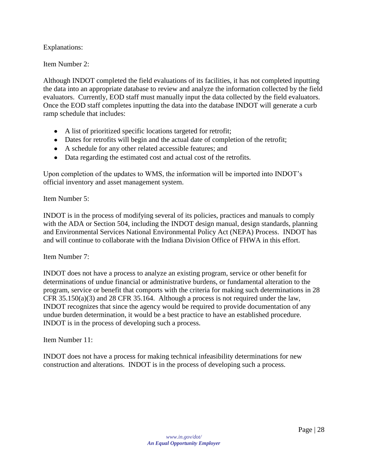Explanations:

Item Number 2:

Although INDOT completed the field evaluations of its facilities, it has not completed inputting the data into an appropriate database to review and analyze the information collected by the field evaluators. Currently, EOD staff must manually input the data collected by the field evaluators. Once the EOD staff completes inputting the data into the database INDOT will generate a curb ramp schedule that includes:

- A list of prioritized specific locations targeted for retrofit;
- Dates for retrofits will begin and the actual date of completion of the retrofit;
- A schedule for any other related accessible features; and
- Data regarding the estimated cost and actual cost of the retrofits.

Upon completion of the updates to WMS, the information will be imported into INDOT's official inventory and asset management system.

Item Number 5:

INDOT is in the process of modifying several of its policies, practices and manuals to comply with the ADA or Section 504, including the INDOT design manual, design standards, planning and Environmental Services National Environmental Policy Act (NEPA) Process. INDOT has and will continue to collaborate with the Indiana Division Office of FHWA in this effort.

Item Number 7:

INDOT does not have a process to analyze an existing program, service or other benefit for determinations of undue financial or administrative burdens, or fundamental alteration to the program, service or benefit that comports with the criteria for making such determinations in 28 CFR 35.150(a)(3) and 28 CFR 35.164. Although a process is not required under the law, INDOT recognizes that since the agency would be required to provide documentation of any undue burden determination, it would be a best practice to have an established procedure. INDOT is in the process of developing such a process.

Item Number 11:

INDOT does not have a process for making technical infeasibility determinations for new construction and alterations. INDOT is in the process of developing such a process.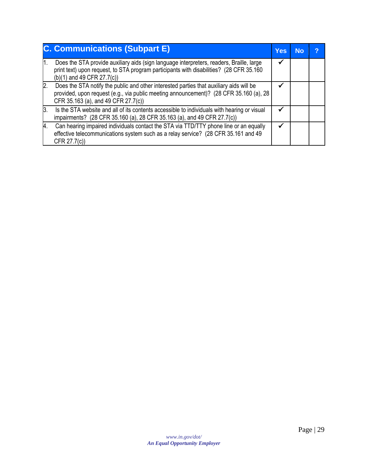|    | <b>C. Communications (Subpart E)</b>                                                                                                                                                                                     | <b>Yes</b> | <b>No</b> | ာ |
|----|--------------------------------------------------------------------------------------------------------------------------------------------------------------------------------------------------------------------------|------------|-----------|---|
|    | Does the STA provide auxiliary aids (sign language interpreters, readers, Braille, large<br>print text) upon request, to STA program participants with disabilities? (28 CFR 35.160<br>$(b)(1)$ and 49 CFR 27.7(c))      |            |           |   |
| 2. | Does the STA notify the public and other interested parties that auxiliary aids will be<br>provided, upon request (e.g., via public meeting announcement)? (28 CFR 35.160 (a), 28<br>CFR 35.163 (a), and 49 CFR 27.7(c)) |            |           |   |
| 3. | Is the STA website and all of its contents accessible to individuals with hearing or visual<br>impairments? (28 CFR 35.160 (a), 28 CFR 35.163 (a), and 49 CFR 27.7(c))                                                   |            |           |   |
| 4. | Can hearing impaired individuals contact the STA via TTD/TTY phone line or an equally<br>effective telecommunications system such as a relay service? (28 CFR 35.161 and 49<br>CFR 27.7(c))                              |            |           |   |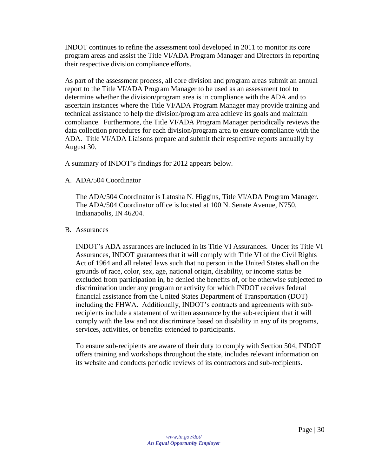INDOT continues to refine the assessment tool developed in 2011 to monitor its core program areas and assist the Title VI/ADA Program Manager and Directors in reporting their respective division compliance efforts.

As part of the assessment process, all core division and program areas submit an annual report to the Title VI/ADA Program Manager to be used as an assessment tool to determine whether the division/program area is in compliance with the ADA and to ascertain instances where the Title VI/ADA Program Manager may provide training and technical assistance to help the division/program area achieve its goals and maintain compliance. Furthermore, the Title VI/ADA Program Manager periodically reviews the data collection procedures for each division/program area to ensure compliance with the ADA. Title VI/ADA Liaisons prepare and submit their respective reports annually by August 30.

A summary of INDOT's findings for 2012 appears below.

<span id="page-29-0"></span>A. ADA/504 Coordinator

The ADA/504 Coordinator is Latosha N. Higgins, Title VI/ADA Program Manager. The ADA/504 Coordinator office is located at 100 N. Senate Avenue, N750, Indianapolis, IN 46204.

#### <span id="page-29-1"></span>B. Assurances

INDOT's ADA assurances are included in its Title VI Assurances. Under its Title VI Assurances, INDOT guarantees that it will comply with Title VI of the Civil Rights Act of 1964 and all related laws such that no person in the United States shall on the grounds of race, color, sex, age, national origin, disability, or income status be excluded from participation in, be denied the benefits of, or be otherwise subjected to discrimination under any program or activity for which INDOT receives federal financial assistance from the United States Department of Transportation (DOT) including the FHWA. Additionally, INDOT's contracts and agreements with subrecipients include a statement of written assurance by the sub-recipient that it will comply with the law and not discriminate based on disability in any of its programs, services, activities, or benefits extended to participants.

To ensure sub-recipients are aware of their duty to comply with Section 504, INDOT offers training and workshops throughout the state, includes relevant information on its website and conducts periodic reviews of its contractors and sub-recipients.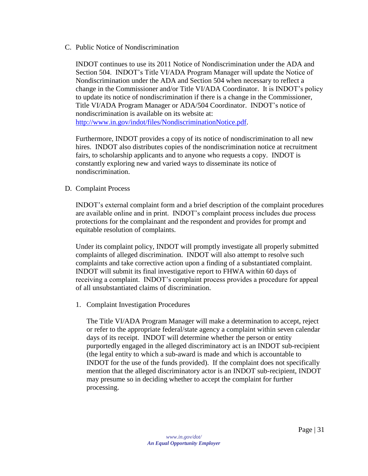<span id="page-30-0"></span>C. Public Notice of Nondiscrimination

INDOT continues to use its 2011 Notice of Nondiscrimination under the ADA and Section 504. INDOT's Title VI/ADA Program Manager will update the Notice of Nondiscrimination under the ADA and Section 504 when necessary to reflect a change in the Commissioner and/or Title VI/ADA Coordinator. It is INDOT's policy to update its notice of nondiscrimination if there is a change in the Commissioner, Title VI/ADA Program Manager or ADA/504 Coordinator. INDOT's notice of nondiscrimination is available on its website at: [http://www.in.gov/indot/files/NondiscriminationNotice.pdf.](http://www.in.gov/indot/files/NondiscriminationNotice.pdf)

Furthermore, INDOT provides a copy of its notice of nondiscrimination to all new hires. INDOT also distributes copies of the nondiscrimination notice at recruitment fairs, to scholarship applicants and to anyone who requests a copy. INDOT is constantly exploring new and varied ways to disseminate its notice of nondiscrimination.

#### <span id="page-30-1"></span>D. Complaint Process

INDOT's external complaint form and a brief description of the complaint procedures are available online and in print. INDOT's complaint process includes due process protections for the complainant and the respondent and provides for prompt and equitable resolution of complaints.

Under its complaint policy, INDOT will promptly investigate all properly submitted complaints of alleged discrimination. INDOT will also attempt to resolve such complaints and take corrective action upon a finding of a substantiated complaint. INDOT will submit its final investigative report to FHWA within 60 days of receiving a complaint. INDOT's complaint process provides a procedure for appeal of all unsubstantiated claims of discrimination.

<span id="page-30-2"></span>1. Complaint Investigation Procedures

The Title VI/ADA Program Manager will make a determination to accept, reject or refer to the appropriate federal/state agency a complaint within seven calendar days of its receipt. INDOT will determine whether the person or entity purportedly engaged in the alleged discriminatory act is an INDOT sub-recipient (the legal entity to which a sub-award is made and which is accountable to INDOT for the use of the funds provided). If the complaint does not specifically mention that the alleged discriminatory actor is an INDOT sub-recipient, INDOT may presume so in deciding whether to accept the complaint for further processing.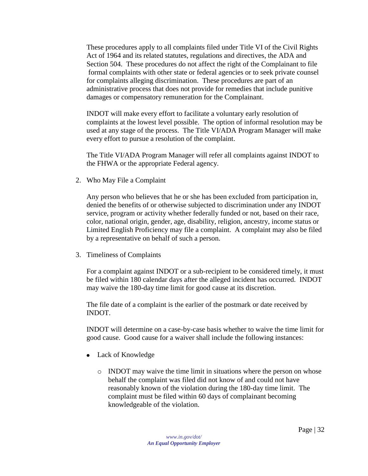These procedures apply to all complaints filed under Title VI of the Civil Rights Act of 1964 and its related statutes, regulations and directives, the ADA and Section 504. These procedures do not affect the right of the Complainant to file formal complaints with other state or federal agencies or to seek private counsel for complaints alleging discrimination. These procedures are part of an administrative process that does not provide for remedies that include punitive damages or compensatory remuneration for the Complainant.

INDOT will make every effort to facilitate a voluntary early resolution of complaints at the lowest level possible. The option of informal resolution may be used at any stage of the process. The Title VI/ADA Program Manager will make every effort to pursue a resolution of the complaint.

The Title VI/ADA Program Manager will refer all complaints against INDOT to the FHWA or the appropriate Federal agency.

<span id="page-31-0"></span>2. Who May File a Complaint

Any person who believes that he or she has been excluded from participation in, denied the benefits of or otherwise subjected to discrimination under any INDOT service, program or activity whether federally funded or not, based on their race, color, national origin, gender, age, disability, religion, ancestry, income status or Limited English Proficiency may file a complaint. A complaint may also be filed by a representative on behalf of such a person.

<span id="page-31-1"></span>3. Timeliness of Complaints

For a complaint against INDOT or a sub-recipient to be considered timely, it must be filed within 180 calendar days after the alleged incident has occurred. INDOT may waive the 180-day time limit for good cause at its discretion.

The file date of a complaint is the earlier of the postmark or date received by INDOT.

INDOT will determine on a case-by-case basis whether to waive the time limit for good cause. Good cause for a waiver shall include the following instances:

- Lack of Knowledge
	- o INDOT may waive the time limit in situations where the person on whose behalf the complaint was filed did not know of and could not have reasonably known of the violation during the 180-day time limit. The complaint must be filed within 60 days of complainant becoming knowledgeable of the violation.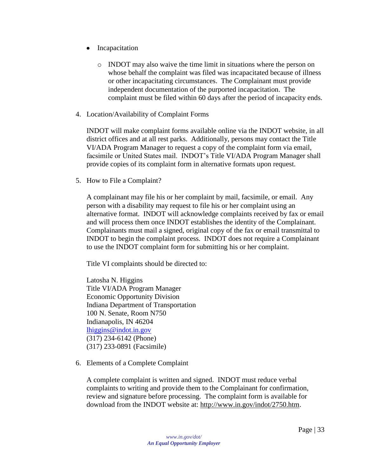- Incapacitation
	- o INDOT may also waive the time limit in situations where the person on whose behalf the complaint was filed was incapacitated because of illness or other incapacitating circumstances. The Complainant must provide independent documentation of the purported incapacitation. The complaint must be filed within 60 days after the period of incapacity ends.
- <span id="page-32-0"></span>4. Location/Availability of Complaint Forms

INDOT will make complaint forms available online via the INDOT website, in all district offices and at all rest parks. Additionally, persons may contact the Title VI/ADA Program Manager to request a copy of the complaint form via email, facsimile or United States mail. INDOT's Title VI/ADA Program Manager shall provide copies of its complaint form in alternative formats upon request.

<span id="page-32-1"></span>5. How to File a Complaint?

A complainant may file his or her complaint by mail, facsimile, or email. Any person with a disability may request to file his or her complaint using an alternative format. INDOT will acknowledge complaints received by fax or email and will process them once INDOT establishes the identity of the Complainant. Complainants must mail a signed, original copy of the fax or email transmittal to INDOT to begin the complaint process. INDOT does not require a Complainant to use the INDOT complaint form for submitting his or her complaint.

Title VI complaints should be directed to:

Latosha N. Higgins Title VI/ADA Program Manager Economic Opportunity Division Indiana Department of Transportation 100 N. Senate, Room N750 Indianapolis, IN 46204 [lhiggins@indot.in.gov](mailto:lhiggins@indot.in.gov) (317) 234-6142 (Phone) (317) 233-0891 (Facsimile)

<span id="page-32-2"></span>6. Elements of a Complete Complaint

A complete complaint is written and signed. INDOT must reduce verbal complaints to writing and provide them to the Complainant for confirmation, review and signature before processing. The complaint form is available for download from the INDOT website at: http://www.in.gov/indot/2750.htm.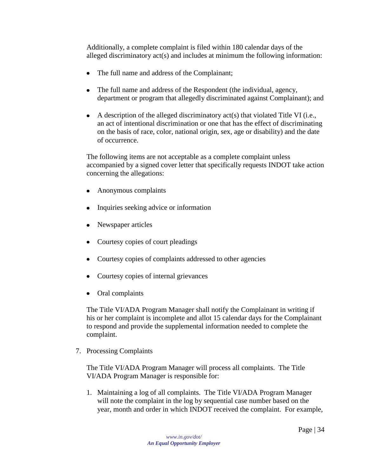Additionally, a complete complaint is filed within 180 calendar days of the alleged discriminatory act(s) and includes at minimum the following information:

- The full name and address of the Complainant;
- The full name and address of the Respondent (the individual, agency,  $\bullet$ department or program that allegedly discriminated against Complainant); and
- $\bullet$  A description of the alleged discriminatory act(s) that violated Title VI (i.e., an act of intentional discrimination or one that has the effect of discriminating on the basis of race, color, national origin, sex, age or disability) and the date of occurrence.

The following items are not acceptable as a complete complaint unless accompanied by a signed cover letter that specifically requests INDOT take action concerning the allegations:

- Anonymous complaints
- Inquiries seeking advice or information
- Newspaper articles
- Courtesy copies of court pleadings
- Courtesy copies of complaints addressed to other agencies
- Courtesy copies of internal grievances
- Oral complaints

The Title VI/ADA Program Manager shall notify the Complainant in writing if his or her complaint is incomplete and allot 15 calendar days for the Complainant to respond and provide the supplemental information needed to complete the complaint.

<span id="page-33-0"></span>7. Processing Complaints

The Title VI/ADA Program Manager will process all complaints. The Title VI/ADA Program Manager is responsible for:

1. Maintaining a log of all complaints. The Title VI/ADA Program Manager will note the complaint in the log by sequential case number based on the year, month and order in which INDOT received the complaint. For example,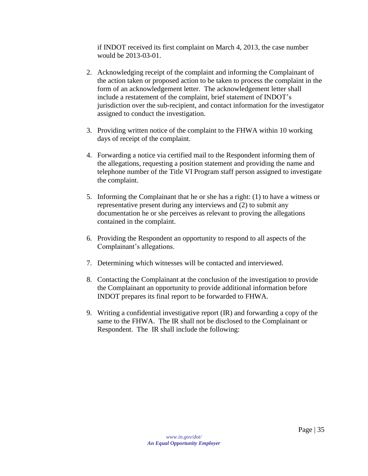if INDOT received its first complaint on March 4, 2013, the case number would be 2013-03-01.

- 2. Acknowledging receipt of the complaint and informing the Complainant of the action taken or proposed action to be taken to process the complaint in the form of an acknowledgement letter. The acknowledgement letter shall include a restatement of the complaint, brief statement of INDOT's jurisdiction over the sub-recipient, and contact information for the investigator assigned to conduct the investigation.
- 3. Providing written notice of the complaint to the FHWA within 10 working days of receipt of the complaint.
- 4. Forwarding a notice via certified mail to the Respondent informing them of the allegations, requesting a position statement and providing the name and telephone number of the Title VI Program staff person assigned to investigate the complaint.
- 5. Informing the Complainant that he or she has a right: (1) to have a witness or representative present during any interviews and (2) to submit any documentation he or she perceives as relevant to proving the allegations contained in the complaint.
- 6. Providing the Respondent an opportunity to respond to all aspects of the Complainant's allegations.
- 7. Determining which witnesses will be contacted and interviewed.
- 8. Contacting the Complainant at the conclusion of the investigation to provide the Complainant an opportunity to provide additional information before INDOT prepares its final report to be forwarded to FHWA.
- 9. Writing a confidential investigative report (IR) and forwarding a copy of the same to the FHWA. The IR shall not be disclosed to the Complainant or Respondent. The IR shall include the following: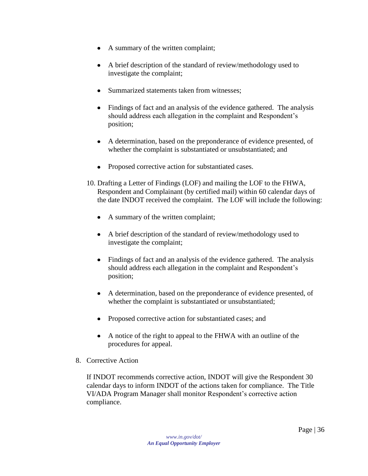- A summary of the written complaint;
- A brief description of the standard of review/methodology used to investigate the complaint;
- Summarized statements taken from witnesses:
- Findings of fact and an analysis of the evidence gathered. The analysis should address each allegation in the complaint and Respondent's position;
- A determination, based on the preponderance of evidence presented, of whether the complaint is substantiated or unsubstantiated; and
- Proposed corrective action for substantiated cases.
- 10. Drafting a Letter of Findings (LOF) and mailing the LOF to the FHWA, Respondent and Complainant (by certified mail) within 60 calendar days of the date INDOT received the complaint. The LOF will include the following:
	- A summary of the written complaint;
	- A brief description of the standard of review/methodology used to investigate the complaint;
	- Findings of fact and an analysis of the evidence gathered. The analysis should address each allegation in the complaint and Respondent's position;
	- A determination, based on the preponderance of evidence presented, of whether the complaint is substantiated or unsubstantiated;
	- Proposed corrective action for substantiated cases; and
	- A notice of the right to appeal to the FHWA with an outline of the procedures for appeal.
- <span id="page-35-0"></span>8. Corrective Action

If INDOT recommends corrective action, INDOT will give the Respondent 30 calendar days to inform INDOT of the actions taken for compliance. The Title VI/ADA Program Manager shall monitor Respondent's corrective action compliance.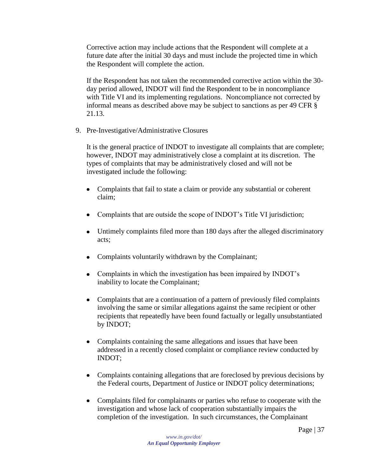Corrective action may include actions that the Respondent will complete at a future date after the initial 30 days and must include the projected time in which the Respondent will complete the action.

If the Respondent has not taken the recommended corrective action within the 30 day period allowed, INDOT will find the Respondent to be in noncompliance with Title VI and its implementing regulations. Noncompliance not corrected by informal means as described above may be subject to sanctions as per 49 CFR § 21.13.

<span id="page-36-0"></span>9. Pre-Investigative/Administrative Closures

It is the general practice of INDOT to investigate all complaints that are complete; however, INDOT may administratively close a complaint at its discretion. The types of complaints that may be administratively closed and will not be investigated include the following:

- Complaints that fail to state a claim or provide any substantial or coherent claim;
- Complaints that are outside the scope of INDOT's Title VI jurisdiction;
- Untimely complaints filed more than 180 days after the alleged discriminatory acts;
- Complaints voluntarily withdrawn by the Complainant;
- Complaints in which the investigation has been impaired by INDOT's inability to locate the Complainant;
- Complaints that are a continuation of a pattern of previously filed complaints involving the same or similar allegations against the same recipient or other recipients that repeatedly have been found factually or legally unsubstantiated by INDOT;
- Complaints containing the same allegations and issues that have been addressed in a recently closed complaint or compliance review conducted by INDOT;
- Complaints containing allegations that are foreclosed by previous decisions by the Federal courts, Department of Justice or INDOT policy determinations;
- Complaints filed for complainants or parties who refuse to cooperate with the investigation and whose lack of cooperation substantially impairs the completion of the investigation. In such circumstances, the Complainant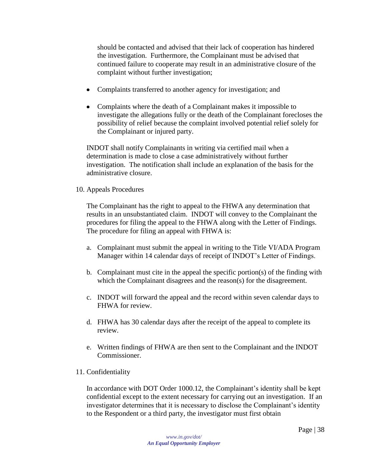should be contacted and advised that their lack of cooperation has hindered the investigation. Furthermore, the Complainant must be advised that continued failure to cooperate may result in an administrative closure of the complaint without further investigation;

- Complaints transferred to another agency for investigation; and
- Complaints where the death of a Complainant makes it impossible to  $\bullet$ investigate the allegations fully or the death of the Complainant forecloses the possibility of relief because the complaint involved potential relief solely for the Complainant or injured party.

INDOT shall notify Complainants in writing via certified mail when a determination is made to close a case administratively without further investigation. The notification shall include an explanation of the basis for the administrative closure.

<span id="page-37-0"></span>10. Appeals Procedures

The Complainant has the right to appeal to the FHWA any determination that results in an unsubstantiated claim. INDOT will convey to the Complainant the procedures for filing the appeal to the FHWA along with the Letter of Findings. The procedure for filing an appeal with FHWA is:

- a. Complainant must submit the appeal in writing to the Title VI/ADA Program Manager within 14 calendar days of receipt of INDOT's Letter of Findings.
- b. Complainant must cite in the appeal the specific portion(s) of the finding with which the Complainant disagrees and the reason(s) for the disagreement.
- c. INDOT will forward the appeal and the record within seven calendar days to FHWA for review.
- d. FHWA has 30 calendar days after the receipt of the appeal to complete its review.
- e. Written findings of FHWA are then sent to the Complainant and the INDOT Commissioner.

#### <span id="page-37-1"></span>11. Confidentiality

In accordance with DOT Order 1000.12, the Complainant's identity shall be kept confidential except to the extent necessary for carrying out an investigation. If an investigator determines that it is necessary to disclose the Complainant's identity to the Respondent or a third party, the investigator must first obtain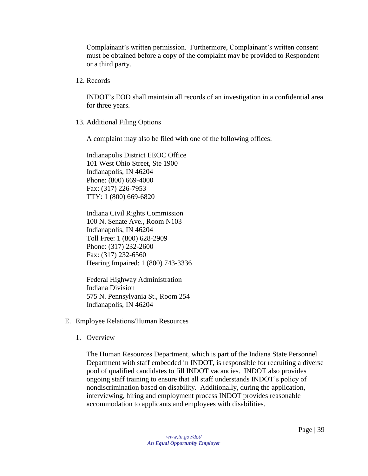Complainant's written permission. Furthermore, Complainant's written consent must be obtained before a copy of the complaint may be provided to Respondent or a third party.

<span id="page-38-0"></span>12. Records

INDOT's EOD shall maintain all records of an investigation in a confidential area for three years.

<span id="page-38-1"></span>13. Additional Filing Options

A complaint may also be filed with one of the following offices:

Indianapolis District EEOC Office 101 West Ohio Street, Ste 1900 Indianapolis, IN 46204 Phone: (800) 669-4000 Fax: (317) 226-7953 TTY: 1 (800) 669-6820

Indiana Civil Rights Commission 100 N. Senate Ave., Room N103 Indianapolis, IN 46204 Toll Free: 1 (800) 628-2909 Phone: (317) 232-2600 Fax: (317) 232-6560 Hearing Impaired: 1 (800) 743-3336

Federal Highway Administration Indiana Division 575 N. Pennsylvania St., Room 254 Indianapolis, IN 46204

- <span id="page-38-3"></span><span id="page-38-2"></span>E. Employee Relations/Human Resources
	- 1. Overview

The Human Resources Department, which is part of the Indiana State Personnel Department with staff embedded in INDOT, is responsible for recruiting a diverse pool of qualified candidates to fill INDOT vacancies. INDOT also provides ongoing staff training to ensure that all staff understands INDOT's policy of nondiscrimination based on disability. Additionally, during the application, interviewing, hiring and employment process INDOT provides reasonable accommodation to applicants and employees with disabilities.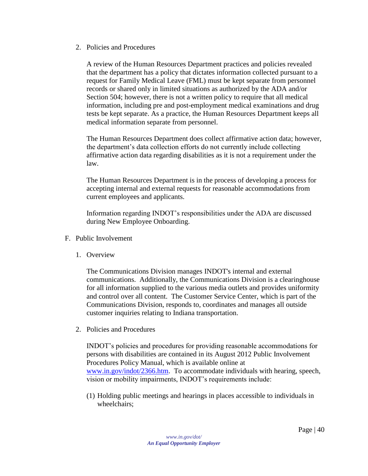<span id="page-39-0"></span>2. Policies and Procedures

A review of the Human Resources Department practices and policies revealed that the department has a policy that dictates information collected pursuant to a request for Family Medical Leave (FML) must be kept separate from personnel records or shared only in limited situations as authorized by the ADA and/or Section 504; however, there is not a written policy to require that all medical information, including pre and post-employment medical examinations and drug tests be kept separate. As a practice, the Human Resources Department keeps all medical information separate from personnel.

The Human Resources Department does collect affirmative action data; however, the department's data collection efforts do not currently include collecting affirmative action data regarding disabilities as it is not a requirement under the law.

The Human Resources Department is in the process of developing a process for accepting internal and external requests for reasonable accommodations from current employees and applicants.

Information regarding INDOT's responsibilities under the ADA are discussed during New Employee Onboarding.

- <span id="page-39-2"></span><span id="page-39-1"></span>F. Public Involvement
	- 1. Overview

The Communications Division manages INDOT's internal and external communications. Additionally, the Communications Division is a clearinghouse for all information supplied to the various media outlets and provides uniformity and control over all content. The Customer Service Center, which is part of the Communications Division, responds to, coordinates and manages all outside customer inquiries relating to Indiana transportation.

<span id="page-39-3"></span>2. Policies and Procedures

INDOT's policies and procedures for providing reasonable accommodations for persons with disabilities are contained in its August 2012 Public Involvement Procedures Policy Manual, which is available online at [www.in.gov/indot/2366.htm.](http://www.in.gov/indot/2366.htm) To accommodate individuals with hearing, speech, vision or mobility impairments, INDOT's requirements include:

(1) Holding public meetings and hearings in places accessible to individuals in wheelchairs;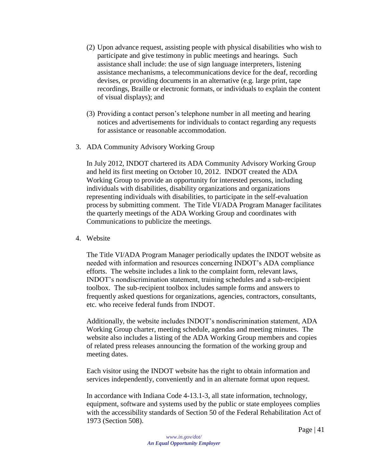- (2) Upon advance request, assisting people with physical disabilities who wish to participate and give testimony in public meetings and hearings. Such assistance shall include: the use of sign language interpreters, listening assistance mechanisms, a telecommunications device for the deaf, recording devises, or providing documents in an alternative (e.g. large print, tape recordings, Braille or electronic formats, or individuals to explain the content of visual displays); and
- (3) Providing a contact person's telephone number in all meeting and hearing notices and advertisements for individuals to contact regarding any requests for assistance or reasonable accommodation.
- <span id="page-40-0"></span>3. ADA Community Advisory Working Group

In July 2012, INDOT chartered its ADA Community Advisory Working Group and held its first meeting on October 10, 2012. INDOT created the ADA Working Group to provide an opportunity for interested persons, including individuals with disabilities, disability organizations and organizations representing individuals with disabilities, to participate in the self-evaluation process by submitting comment. The Title VI/ADA Program Manager facilitates the quarterly meetings of the ADA Working Group and coordinates with Communications to publicize the meetings.

<span id="page-40-1"></span>4. Website

The Title VI/ADA Program Manager periodically updates the INDOT website as needed with information and resources concerning INDOT's ADA compliance efforts. The website includes a link to the complaint form, relevant laws, INDOT's nondiscrimination statement, training schedules and a sub-recipient toolbox. The sub-recipient toolbox includes sample forms and answers to frequently asked questions for organizations, agencies, contractors, consultants, etc. who receive federal funds from INDOT.

Additionally, the website includes INDOT's nondiscrimination statement, ADA Working Group charter, meeting schedule, agendas and meeting minutes. The website also includes a listing of the ADA Working Group members and copies of related press releases announcing the formation of the working group and meeting dates.

Each visitor using the INDOT website has the right to obtain information and services independently, conveniently and in an alternate format upon request.

In accordance with Indiana Code 4-13.1-3, all state information, technology, equipment, software and systems used by the public or state employees complies with the accessibility standards of Section 50 of the Federal Rehabilitation Act of 1973 (Section 508).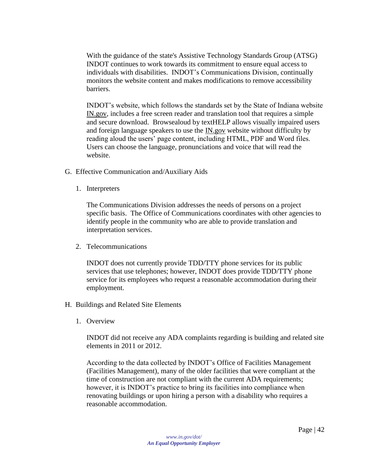With the guidance of the state's Assistive Technology Standards Group (ATSG) INDOT continues to work towards its commitment to ensure equal access to individuals with disabilities. INDOT's Communications Division, continually monitors the website content and makes modifications to remove accessibility barriers.

INDOT's website, which follows the standards set by the State of Indiana website IN.gov, includes a free screen reader and translation tool that requires a simple and secure download. Browsealoud by textHELP allows visually impaired users and foreign language speakers to use the IN.gov website without difficulty by reading aloud the users' page content, including HTML, PDF and Word files. Users can choose the language, pronunciations and voice that will read the website.

- <span id="page-41-1"></span><span id="page-41-0"></span>G. Effective Communication and/Auxiliary Aids
	- 1. Interpreters

The Communications Division addresses the needs of persons on a project specific basis. The Office of Communications coordinates with other agencies to identify people in the community who are able to provide translation and interpretation services.

<span id="page-41-2"></span>2. Telecommunications

INDOT does not currently provide TDD/TTY phone services for its public services that use telephones; however, INDOT does provide TDD/TTY phone service for its employees who request a reasonable accommodation during their employment.

- <span id="page-41-4"></span><span id="page-41-3"></span>H. Buildings and Related Site Elements
	- 1. Overview

INDOT did not receive any ADA complaints regarding is building and related site elements in 2011 or 2012.

According to the data collected by INDOT's Office of Facilities Management (Facilities Management), many of the older facilities that were compliant at the time of construction are not compliant with the current ADA requirements; however, it is INDOT's practice to bring its facilities into compliance when renovating buildings or upon hiring a person with a disability who requires a reasonable accommodation.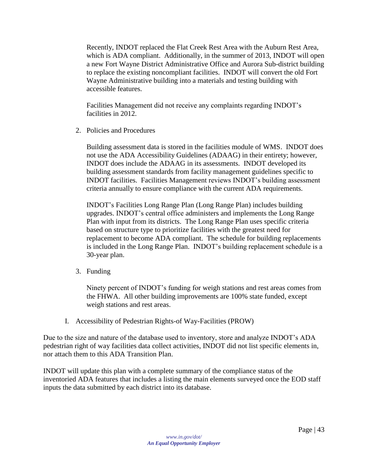Recently, INDOT replaced the Flat Creek Rest Area with the Auburn Rest Area, which is ADA compliant. Additionally, in the summer of 2013, INDOT will open a new Fort Wayne District Administrative Office and Aurora Sub-district building to replace the existing noncompliant facilities. INDOT will convert the old Fort Wayne Administrative building into a materials and testing building with accessible features.

Facilities Management did not receive any complaints regarding INDOT's facilities in 2012.

<span id="page-42-0"></span>2. Policies and Procedures

Building assessment data is stored in the facilities module of WMS. INDOT does not use the ADA Accessibility Guidelines (ADAAG) in their entirety; however, INDOT does include the ADAAG in its assessments. INDOT developed its building assessment standards from facility management guidelines specific to INDOT facilities. Facilities Management reviews INDOT's building assessment criteria annually to ensure compliance with the current ADA requirements.

INDOT's Facilities Long Range Plan (Long Range Plan) includes building upgrades. INDOT's central office administers and implements the Long Range Plan with input from its districts. The Long Range Plan uses specific criteria based on structure type to prioritize facilities with the greatest need for replacement to become ADA compliant. The schedule for building replacements is included in the Long Range Plan. INDOT's building replacement schedule is a 30-year plan.

<span id="page-42-1"></span>3. Funding

Ninety percent of INDOT's funding for weigh stations and rest areas comes from the FHWA. All other building improvements are 100% state funded, except weigh stations and rest areas.

I. Accessibility of Pedestrian Rights-of Way-Facilities (PROW)

<span id="page-42-2"></span>Due to the size and nature of the database used to inventory, store and analyze INDOT's ADA pedestrian right of way facilities data collect activities, INDOT did not list specific elements in, nor attach them to this ADA Transition Plan.

INDOT will update this plan with a complete summary of the compliance status of the inventoried ADA features that includes a listing the main elements surveyed once the EOD staff inputs the data submitted by each district into its database.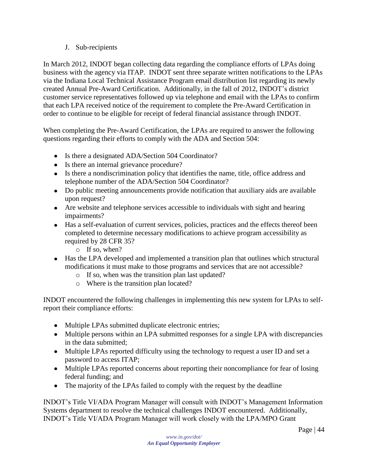#### J. Sub-recipients

<span id="page-43-0"></span>In March 2012, INDOT began collecting data regarding the compliance efforts of LPAs doing business with the agency via ITAP. INDOT sent three separate written notifications to the LPAs via the Indiana Local Technical Assistance Program email distribution list regarding its newly created Annual Pre-Award Certification. Additionally, in the fall of 2012, INDOT's district customer service representatives followed up via telephone and email with the LPAs to confirm that each LPA received notice of the requirement to complete the Pre-Award Certification in order to continue to be eligible for receipt of federal financial assistance through INDOT.

When completing the Pre-Award Certification, the LPAs are required to answer the following questions regarding their efforts to comply with the ADA and Section 504:

- Is there a designated ADA/Section 504 Coordinator?
- Is there an internal grievance procedure?
- Is there a nondiscrimination policy that identifies the name, title, office address and telephone number of the ADA/Section 504 Coordinator?
- Do public meeting announcements provide notification that auxiliary aids are available upon request?
- Are website and telephone services accessible to individuals with sight and hearing impairments?
- Has a self-evaluation of current services, policies, practices and the effects thereof been completed to determine necessary modifications to achieve program accessibility as required by 28 CFR 35?
	- o If so, when?
- Has the LPA developed and implemented a transition plan that outlines which structural modifications it must make to those programs and services that are not accessible?
	- o If so, when was the transition plan last updated?
	- o Where is the transition plan located?

INDOT encountered the following challenges in implementing this new system for LPAs to selfreport their compliance efforts:

- Multiple LPAs submitted duplicate electronic entries;
- Multiple persons within an LPA submitted responses for a single LPA with discrepancies in the data submitted;
- Multiple LPAs reported difficulty using the technology to request a user ID and set a password to access ITAP;
- Multiple LPAs reported concerns about reporting their noncompliance for fear of losing federal funding; and
- The majority of the LPAs failed to comply with the request by the deadline

INDOT's Title VI/ADA Program Manager will consult with INDOT's Management Information Systems department to resolve the technical challenges INDOT encountered. Additionally, INDOT's Title VI/ADA Program Manager will work closely with the LPA/MPO Grant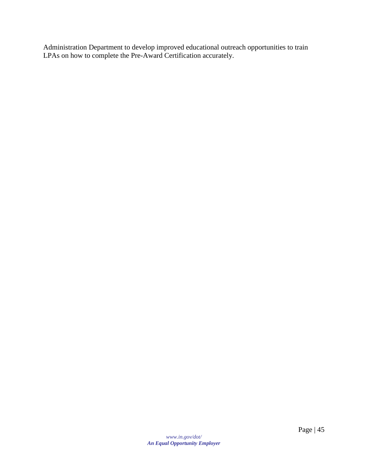Administration Department to develop improved educational outreach opportunities to train LPAs on how to complete the Pre-Award Certification accurately.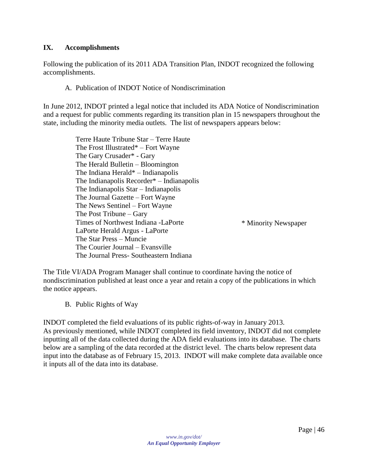#### <span id="page-45-0"></span>**IX. Accomplishments**

<span id="page-45-1"></span>Following the publication of its 2011 ADA Transition Plan, INDOT recognized the following accomplishments.

#### A. Publication of INDOT Notice of Nondiscrimination

In June 2012, INDOT printed a legal notice that included its ADA Notice of Nondiscrimination and a request for public comments regarding its transition plan in 15 newspapers throughout the state, including the minority media outlets. The list of newspapers appears below:

> Terre Haute Tribune Star – Terre Haute The Frost Illustrated\* – Fort Wayne The Gary Crusader\* - Gary The Herald Bulletin – Bloomington The Indiana Herald\* – Indianapolis The Indianapolis Recorder\* – Indianapolis The Indianapolis Star – Indianapolis The Journal Gazette – Fort Wayne The News Sentinel – Fort Wayne The Post Tribune – Gary Times of Northwest Indiana -LaPorte LaPorte Herald Argus - LaPorte The Star Press – Muncie The Courier Journal – Evansville The Journal Press- Southeastern Indiana \* Minority Newspaper

The Title VI/ADA Program Manager shall continue to coordinate having the notice of nondiscrimination published at least once a year and retain a copy of the publications in which the notice appears.

<span id="page-45-2"></span>B. Public Rights of Way

INDOT completed the field evaluations of its public rights-of-way in January 2013. As previously mentioned, while INDOT completed its field inventory, INDOT did not complete inputting all of the data collected during the ADA field evaluations into its database. The charts below are a sampling of the data recorded at the district level. The charts below represent data input into the database as of February 15, 2013. INDOT will make complete data available once it inputs all of the data into its database.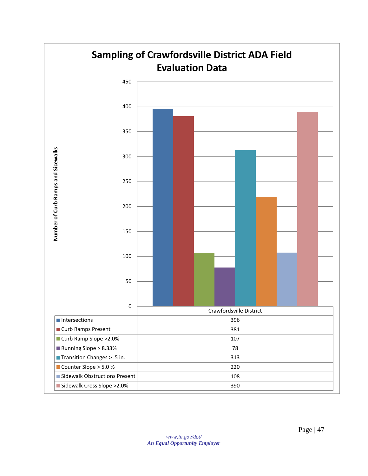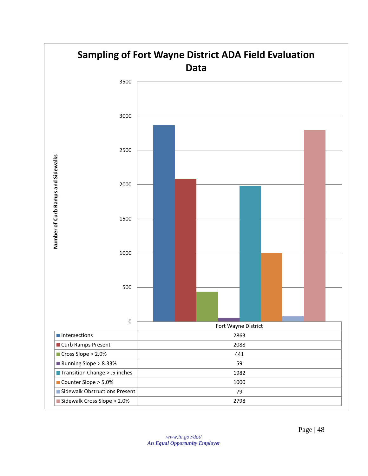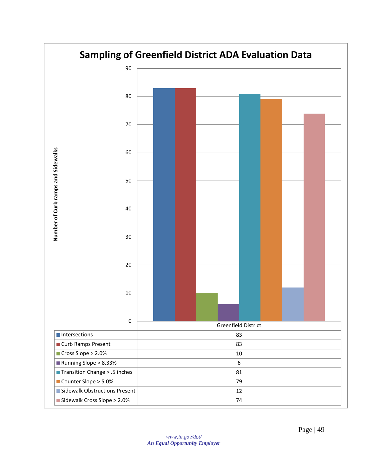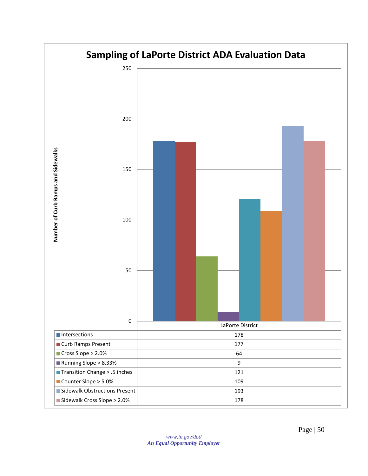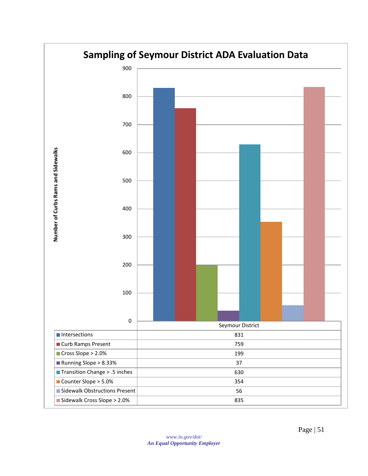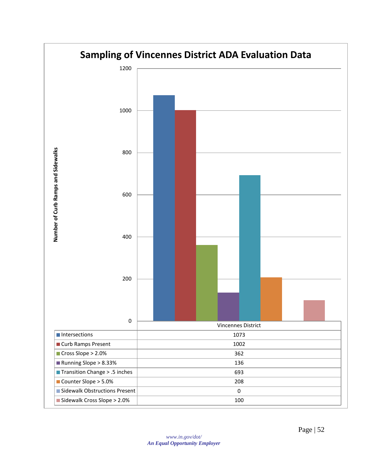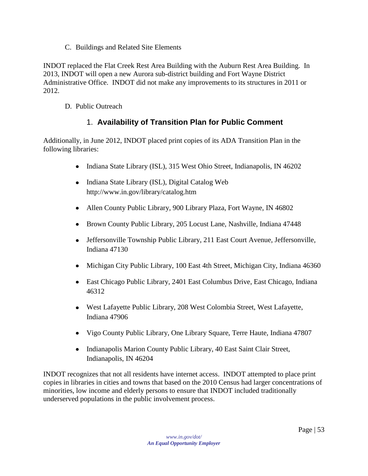C. Buildings and Related Site Elements

<span id="page-52-0"></span>INDOT replaced the Flat Creek Rest Area Building with the Auburn Rest Area Building. In 2013, INDOT will open a new Aurora sub-district building and Fort Wayne District Administrative Office. INDOT did not make any improvements to its structures in 2011 or 2012.

<span id="page-52-1"></span>D. Public Outreach

## 1. **Availability of Transition Plan for Public Comment**

<span id="page-52-2"></span>Additionally, in June 2012, INDOT placed print copies of its ADA Transition Plan in the following libraries:

- $\bullet$ Indiana State Library (ISL), 315 West Ohio Street, Indianapolis, IN 46202
- $\bullet$ Indiana State Library (ISL), Digital Catalog Web <http://www.in.gov/library/catalog.htm>
- Allen County Public Library, 900 Library Plaza, Fort Wayne, IN 46802
- Brown County Public Library, 205 Locust Lane, Nashville, Indiana 47448
- Jeffersonville Township Public Library, 211 East Court Avenue, Jeffersonville,  $\bullet$ Indiana 47130
- Michigan City Public Library, 100 East 4th Street, Michigan City, Indiana 46360
- East Chicago Public Library, 2401 East Columbus Drive, East Chicago, Indiana 46312
- West Lafayette Public Library, 208 West Colombia Street, West Lafayette, Indiana 47906
- Vigo County Public Library, One Library Square, Terre Haute, Indiana 47807
- Indianapolis Marion County Public Library, 40 East Saint Clair Street, Indianapolis, IN 46204

INDOT recognizes that not all residents have internet access. INDOT attempted to place print copies in libraries in cities and towns that based on the 2010 Census had larger concentrations of minorities, low income and elderly persons to ensure that INDOT included traditionally underserved populations in the public involvement process.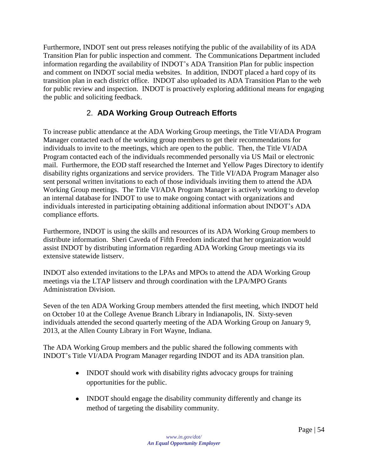Furthermore, INDOT sent out press releases notifying the public of the availability of its ADA Transition Plan for public inspection and comment. The Communications Department included information regarding the availability of INDOT's ADA Transition Plan for public inspection and comment on INDOT social media websites. In addition, INDOT placed a hard copy of its transition plan in each district office. INDOT also uploaded its ADA Transition Plan to the web for public review and inspection. INDOT is proactively exploring additional means for engaging the public and soliciting feedback.

# 2. **ADA Working Group Outreach Efforts**

<span id="page-53-0"></span>To increase public attendance at the ADA Working Group meetings, the Title VI/ADA Program Manager contacted each of the working group members to get their recommendations for individuals to invite to the meetings, which are open to the public. Then, the Title VI/ADA Program contacted each of the individuals recommended personally via US Mail or electronic mail. Furthermore, the EOD staff researched the Internet and Yellow Pages Directory to identify disability rights organizations and service providers. The Title VI/ADA Program Manager also sent personal written invitations to each of those individuals inviting them to attend the ADA Working Group meetings. The Title VI/ADA Program Manager is actively working to develop an internal database for INDOT to use to make ongoing contact with organizations and individuals interested in participating obtaining additional information about INDOT's ADA compliance efforts.

Furthermore, INDOT is using the skills and resources of its ADA Working Group members to distribute information. Sheri Caveda of Fifth Freedom indicated that her organization would assist INDOT by distributing information regarding ADA Working Group meetings via its extensive statewide listserv.

INDOT also extended invitations to the LPAs and MPOs to attend the ADA Working Group meetings via the LTAP listserv and through coordination with the LPA/MPO Grants Administration Division.

Seven of the ten ADA Working Group members attended the first meeting, which INDOT held on October 10 at the College Avenue Branch Library in Indianapolis, IN. Sixty-seven individuals attended the second quarterly meeting of the ADA Working Group on January 9, 2013, at the Allen County Library in Fort Wayne, Indiana.

The ADA Working Group members and the public shared the following comments with INDOT's Title VI/ADA Program Manager regarding INDOT and its ADA transition plan.

- INDOT should work with disability rights advocacy groups for training opportunities for the public.
- INDOT should engage the disability community differently and change its method of targeting the disability community.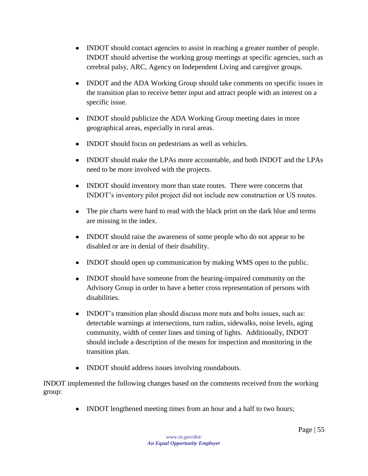- INDOT should contact agencies to assist in reaching a greater number of people. INDOT should advertise the working group meetings at specific agencies, such as cerebral palsy, ARC, Agency on Independent Living and caregiver groups.
- INDOT and the ADA Working Group should take comments on specific issues in the transition plan to receive better input and attract people with an interest on a specific issue.
- INDOT should publicize the ADA Working Group meeting dates in more  $\bullet$ geographical areas, especially in rural areas.
- INDOT should focus on pedestrians as well as vehicles.
- INDOT should make the LPAs more accountable, and both INDOT and the LPAs need to be more involved with the projects.
- INDOT should inventory more than state routes. There were concerns that INDOT's inventory pilot project did not include new construction or US routes.
- $\bullet$ The pie charts were hard to read with the black print on the dark blue and terms are missing in the index.
- INDOT should raise the awareness of some people who do not appear to be disabled or are in denial of their disability.
- INDOT should open up communication by making WMS open to the public.
- INDOT should have someone from the hearing-impaired community on the Advisory Group in order to have a better cross representation of persons with disabilities.
- INDOT's transition plan should discuss more nuts and bolts issues, such as: detectable warnings at intersections, turn radius, sidewalks, noise levels, aging community, width of center lines and timing of lights. Additionally, INDOT should include a description of the means for inspection and monitoring in the transition plan.
- INDOT should address issues involving roundabouts.

INDOT implemented the following changes based on the comments received from the working group:

• INDOT lengthened meeting times from an hour and a half to two hours;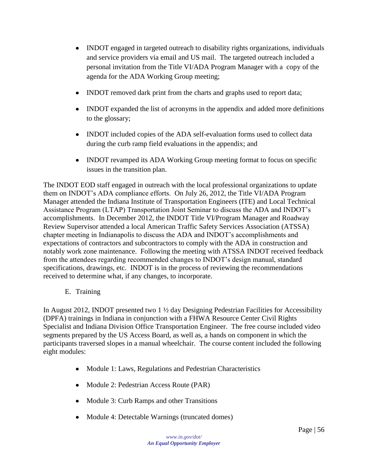- INDOT engaged in targeted outreach to disability rights organizations, individuals and service providers via email and US mail. The targeted outreach included a personal invitation from the Title VI/ADA Program Manager with a copy of the agenda for the ADA Working Group meeting;
- INDOT removed dark print from the charts and graphs used to report data;
- INDOT expanded the list of acronyms in the appendix and added more definitions to the glossary;
- INDOT included copies of the ADA self-evaluation forms used to collect data during the curb ramp field evaluations in the appendix; and
- INDOT revamped its ADA Working Group meeting format to focus on specific issues in the transition plan.

The INDOT EOD staff engaged in outreach with the local professional organizations to update them on INDOT's ADA compliance efforts. On July 26, 2012, the Title VI/ADA Program Manager attended the Indiana Institute of Transportation Engineers (ITE) and Local Technical Assistance Program (LTAP) Transportation Joint Seminar to discuss the ADA and INDOT's accomplishments. In December 2012, the INDOT Title VI/Program Manager and Roadway Review Supervisor attended a local American Traffic Safety Services Association (ATSSA) chapter meeting in Indianapolis to discuss the ADA and INDOT's accomplishments and expectations of contractors and subcontractors to comply with the ADA in construction and notably work zone maintenance. Following the meeting with ATSSA INDOT received feedback from the attendees regarding recommended changes to INDOT's design manual, standard specifications, drawings, etc. INDOT is in the process of reviewing the recommendations received to determine what, if any changes, to incorporate.

<span id="page-55-0"></span>E. Training

In August 2012, INDOT presented two 1 ½ day Designing Pedestrian Facilities for Accessibility (DPFA) trainings in Indiana in conjunction with a FHWA Resource Center Civil Rights Specialist and Indiana Division Office Transportation Engineer. The free course included video segments prepared by the US Access Board, as well as, a hands on component in which the participants traversed slopes in a manual wheelchair. The course content included the following eight modules:

- Module 1: Laws, Regulations and Pedestrian Characteristics
- Module 2: Pedestrian Access Route (PAR)
- Module 3: Curb Ramps and other Transitions
- Module 4: Detectable Warnings (truncated domes)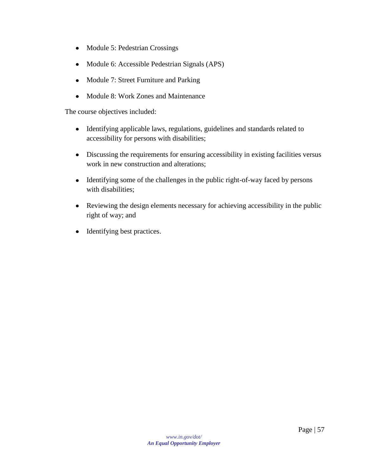- Module 5: Pedestrian Crossings
- Module 6: Accessible Pedestrian Signals (APS)
- Module 7: Street Furniture and Parking  $\bullet$
- Module 8: Work Zones and Maintenance  $\bullet$

The course objectives included:

- Identifying applicable laws, regulations, guidelines and standards related to  $\bullet$ accessibility for persons with disabilities;
- Discussing the requirements for ensuring accessibility in existing facilities versus  $\bullet$ work in new construction and alterations;
- Identifying some of the challenges in the public right-of-way faced by persons with disabilities;
- Reviewing the design elements necessary for achieving accessibility in the public right of way; and
- Identifying best practices.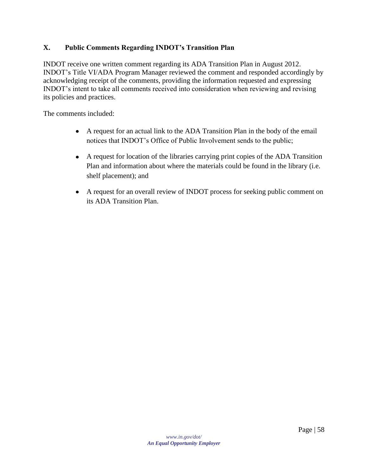#### <span id="page-57-0"></span>**X. Public Comments Regarding INDOT's Transition Plan**

INDOT receive one written comment regarding its ADA Transition Plan in August 2012. INDOT's Title VI/ADA Program Manager reviewed the comment and responded accordingly by acknowledging receipt of the comments, providing the information requested and expressing INDOT's intent to take all comments received into consideration when reviewing and revising its policies and practices.

The comments included:

- A request for an actual link to the ADA Transition Plan in the body of the email notices that INDOT's Office of Public Involvement sends to the public;
- A request for location of the libraries carrying print copies of the ADA Transition Plan and information about where the materials could be found in the library (i.e. shelf placement); and
- A request for an overall review of INDOT process for seeking public comment on its ADA Transition Plan.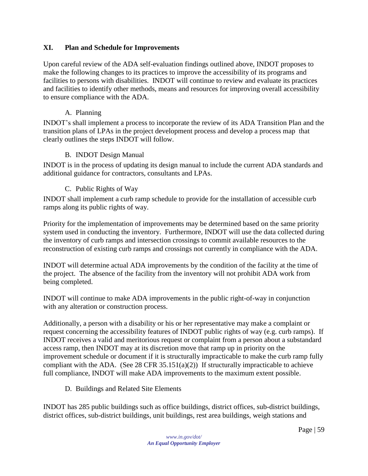#### <span id="page-58-0"></span>**XI. Plan and Schedule for Improvements**

Upon careful review of the ADA self-evaluation findings outlined above, INDOT proposes to make the following changes to its practices to improve the accessibility of its programs and facilities to persons with disabilities. INDOT will continue to review and evaluate its practices and facilities to identify other methods, means and resources for improving overall accessibility to ensure compliance with the ADA.

#### A. Planning

<span id="page-58-1"></span>INDOT's shall implement a process to incorporate the review of its ADA Transition Plan and the transition plans of LPAs in the project development process and develop a process map that clearly outlines the steps INDOT will follow.

#### B. INDOT Design Manual

<span id="page-58-3"></span><span id="page-58-2"></span>INDOT is in the process of updating its design manual to include the current ADA standards and additional guidance for contractors, consultants and LPAs.

#### C. Public Rights of Way

INDOT shall implement a curb ramp schedule to provide for the installation of accessible curb ramps along its public rights of way.

Priority for the implementation of improvements may be determined based on the same priority system used in conducting the inventory. Furthermore, INDOT will use the data collected during the inventory of curb ramps and intersection crossings to commit available resources to the reconstruction of existing curb ramps and crossings not currently in compliance with the ADA.

INDOT will determine actual ADA improvements by the condition of the facility at the time of the project. The absence of the facility from the inventory will not prohibit ADA work from being completed.

INDOT will continue to make ADA improvements in the public right-of-way in conjunction with any alteration or construction process.

Additionally, a person with a disability or his or her representative may make a complaint or request concerning the accessibility features of INDOT public rights of way (e.g. curb ramps). If INDOT receives a valid and meritorious request or complaint from a person about a substandard access ramp, then INDOT may at its discretion move that ramp up in priority on the improvement schedule or document if it is structurally impracticable to make the curb ramp fully compliant with the ADA. (See 28 CFR  $35.151(a)(2)$ ) If structurally impracticable to achieve full compliance, INDOT will make ADA improvements to the maximum extent possible.

<span id="page-58-4"></span>D. Buildings and Related Site Elements

INDOT has 285 public buildings such as office buildings, district offices, sub-district buildings, district offices, sub-district buildings, unit buildings, rest area buildings, weigh stations and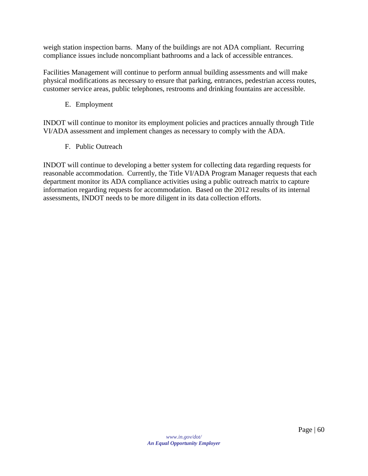weigh station inspection barns. Many of the buildings are not ADA compliant. Recurring compliance issues include noncompliant bathrooms and a lack of accessible entrances.

<span id="page-59-0"></span>Facilities Management will continue to perform annual building assessments and will make physical modifications as necessary to ensure that parking, entrances, pedestrian access routes, customer service areas, public telephones, restrooms and drinking fountains are accessible.

E. Employment

<span id="page-59-1"></span>INDOT will continue to monitor its employment policies and practices annually through Title VI/ADA assessment and implement changes as necessary to comply with the ADA.

F. Public Outreach

INDOT will continue to developing a better system for collecting data regarding requests for reasonable accommodation. Currently, the Title VI/ADA Program Manager requests that each department monitor its ADA compliance activities using a public outreach matrix to capture information regarding requests for accommodation. Based on the 2012 results of its internal assessments, INDOT needs to be more diligent in its data collection efforts.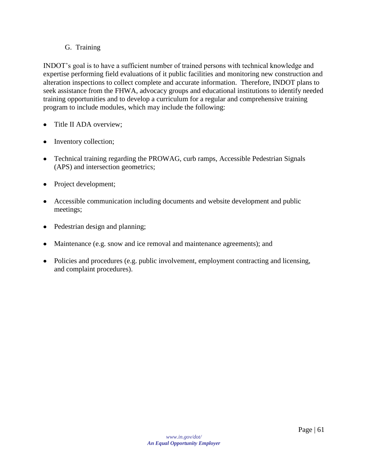#### G. Training

<span id="page-60-0"></span>INDOT's goal is to have a sufficient number of trained persons with technical knowledge and expertise performing field evaluations of it public facilities and monitoring new construction and alteration inspections to collect complete and accurate information. Therefore, INDOT plans to seek assistance from the FHWA, advocacy groups and educational institutions to identify needed training opportunities and to develop a curriculum for a regular and comprehensive training program to include modules, which may include the following:

- Title II ADA overview;
- Inventory collection;
- Technical training regarding the PROWAG, curb ramps, Accessible Pedestrian Signals (APS) and intersection geometrics;
- Project development;
- Accessible communication including documents and website development and public meetings;
- Pedestrian design and planning;
- Maintenance (e.g. snow and ice removal and maintenance agreements); and
- Policies and procedures (e.g. public involvement, employment contracting and licensing, and complaint procedures).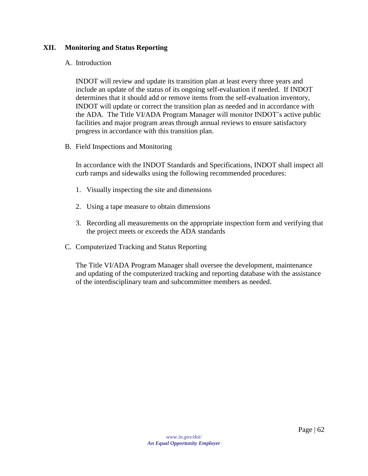#### <span id="page-61-1"></span><span id="page-61-0"></span>**XII. Monitoring and Status Reporting**

#### A. Introduction

INDOT will review and update its transition plan at least every three years and include an update of the status of its ongoing self-evaluation if needed. If INDOT determines that it should add or remove items from the self-evaluation inventory, INDOT will update or correct the transition plan as needed and in accordance with the ADA. The Title VI/ADA Program Manager will monitor INDOT's active public facilities and major program areas through annual reviews to ensure satisfactory progress in accordance with this transition plan.

<span id="page-61-2"></span>B. Field Inspections and Monitoring

In accordance with the INDOT Standards and Specifications, INDOT shall inspect all curb ramps and sidewalks using the following recommended procedures:

- 1. Visually inspecting the site and dimensions
- 2. Using a tape measure to obtain dimensions
- 3. Recording all measurements on the appropriate inspection form and verifying that the project meets or exceeds the ADA standards
- <span id="page-61-3"></span>C. Computerized Tracking and Status Reporting

The Title VI/ADA Program Manager shall oversee the development, maintenance and updating of the computerized tracking and reporting database with the assistance of the interdisciplinary team and subcommittee members as needed.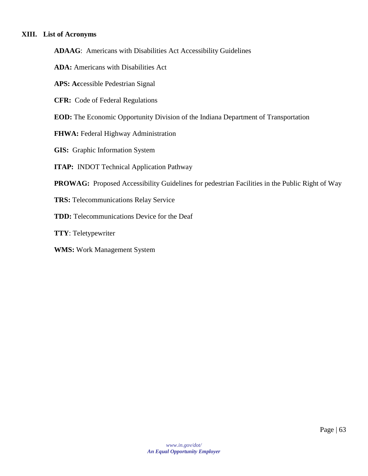#### <span id="page-62-0"></span>**XIII. List of Acronyms**

**ADAAG**: Americans with Disabilities Act Accessibility Guidelines

- **ADA:** Americans with Disabilities Act
- **APS: Ac**cessible Pedestrian Signal
- **CFR:** Code of Federal Regulations
- **EOD:** The Economic Opportunity Division of the Indiana Department of Transportation
- **FHWA:** Federal Highway Administration
- **GIS:** Graphic Information System
- **ITAP:** INDOT Technical Application Pathway
- **PROWAG:** Proposed Accessibility Guidelines for pedestrian Facilities in the Public Right of Way
- **TRS:** Telecommunications Relay Service
- **TDD:** Telecommunications Device for the Deaf
- **TTY**: Teletypewriter
- **WMS:** Work Management System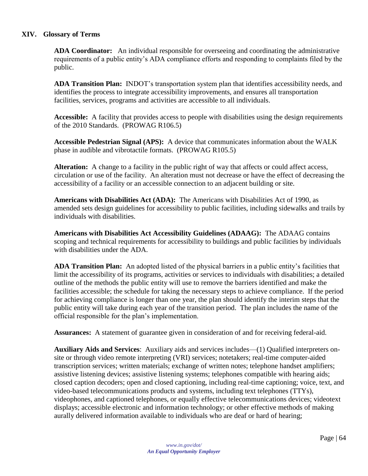#### <span id="page-63-0"></span>**XIV. Glossary of Terms**

**ADA Coordinator:** An individual responsible for overseeing and coordinating the administrative requirements of a public entity's ADA compliance efforts and responding to complaints filed by the public.

**ADA Transition Plan:** INDOT's transportation system plan that identifies accessibility needs, and identifies the process to integrate accessibility improvements, and ensures all transportation facilities, services, programs and activities are accessible to all individuals.

**Accessible:** A facility that provides access to people with disabilities using the design requirements of the 2010 Standards. (PROWAG R106.5)

**Accessible Pedestrian Signal (APS):** A device that communicates information about the WALK phase in audible and vibrotactile formats. (PROWAG R105.5)

Alteration: A change to a facility in the public right of way that affects or could affect access, circulation or use of the facility. An alteration must not decrease or have the effect of decreasing the accessibility of a facility or an accessible connection to an adjacent building or site.

**Americans with Disabilities Act (ADA):** The Americans with Disabilities Act of 1990, as amended sets design guidelines for accessibility to public facilities, including sidewalks and trails by individuals with disabilities.

**Americans with Disabilities Act Accessibility Guidelines (ADAAG):** The ADAAG contains scoping and technical requirements for accessibility to buildings and public facilities by individuals with disabilities under the ADA.

**ADA Transition Plan:** An adopted listed of the physical barriers in a public entity's facilities that limit the accessibility of its programs, activities or services to individuals with disabilities; a detailed outline of the methods the public entity will use to remove the barriers identified and make the facilities accessible; the schedule for taking the necessary steps to achieve compliance. If the period for achieving compliance is longer than one year, the plan should identify the interim steps that the public entity will take during each year of the transition period. The plan includes the name of the official responsible for the plan's implementation.

**Assurances:** A statement of guarantee given in consideration of and for receiving federal-aid.

**Auxiliary Aids and Services**: Auxiliary aids and services includes—(1) Qualified interpreters onsite or through video remote interpreting (VRI) services; notetakers; real-time computer-aided transcription services; written materials; exchange of written notes; telephone handset amplifiers; assistive listening devices; assistive listening systems; telephones compatible with hearing aids; closed caption decoders; open and closed captioning, including real-time captioning; voice, text, and video-based telecommunications products and systems, including text telephones (TTYs), videophones, and captioned telephones, or equally effective telecommunications devices; videotext displays; accessible electronic and information technology; or other effective methods of making aurally delivered information available to individuals who are deaf or hard of hearing;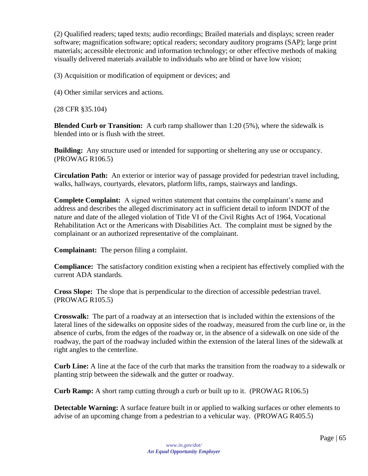(2) Qualified readers; taped texts; audio recordings; Brailed materials and displays; screen reader software; magnification software; optical readers; secondary auditory programs (SAP); large print materials; accessible electronic and information technology; or other effective methods of making visually delivered materials available to individuals who are blind or have low vision;

(3) Acquisition or modification of equipment or devices; and

(4) Other similar services and actions.

(28 CFR §35.104)

**Blended Curb or Transition:** A curb ramp shallower than 1:20 (5%), where the sidewalk is blended into or is flush with the street.

**Building:** Any structure used or intended for supporting or sheltering any use or occupancy. (PROWAG R106.5)

**Circulation Path:** An exterior or interior way of passage provided for pedestrian travel including, walks, hallways, courtyards, elevators, platform lifts, ramps, stairways and landings.

**Complete Complaint:** A signed written statement that contains the complainant's name and address and describes the alleged discriminatory act in sufficient detail to inform INDOT of the nature and date of the alleged violation of Title VI of the Civil Rights Act of 1964, Vocational Rehabilitation Act or the Americans with Disabilities Act. The complaint must be signed by the complainant or an authorized representative of the complainant.

**Complainant:** The person filing a complaint.

**Compliance:** The satisfactory condition existing when a recipient has effectively complied with the current ADA standards.

**Cross Slope:** The slope that is perpendicular to the direction of accessible pedestrian travel. (PROWAG R105.5)

**Crosswalk:** The part of a roadway at an intersection that is included within the extensions of the lateral lines of the sidewalks on opposite sides of the roadway, measured from the curb line or, in the absence of curbs, from the edges of the roadway or, in the absence of a sidewalk on one side of the roadway, the part of the roadway included within the extension of the lateral lines of the sidewalk at right angles to the centerline.

**Curb Line:** A line at the face of the curb that marks the transition from the roadway to a sidewalk or planting strip between the sidewalk and the gutter or roadway.

**Curb Ramp:** A short ramp cutting through a curb or built up to it. (PROWAG R106.5)

**Detectable Warning:** A surface feature built in or applied to walking surfaces or other elements to advise of an upcoming change from a pedestrian to a vehicular way. (PROWAG R405.5)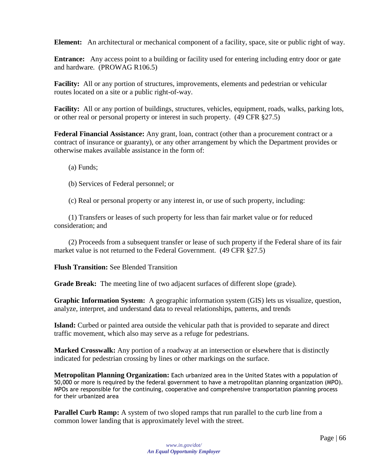**Element:** An architectural or mechanical component of a facility, space, site or public right of way.

**Entrance:** Any access point to a building or facility used for entering including entry door or gate and hardware. (PROWAG R106.5)

**Facility:** All or any portion of structures, improvements, elements and pedestrian or vehicular routes located on a site or a public right-of-way.

**Facility:** All or any portion of buildings, structures, vehicles, equipment, roads, walks, parking lots, or other real or personal property or interest in such property. (49 CFR §27.5)

**Federal Financial Assistance:** Any grant, loan, contract (other than a procurement contract or a contract of insurance or guaranty), or any other arrangement by which the Department provides or otherwise makes available assistance in the form of:

(a) Funds;

- (b) Services of Federal personnel; or
- (c) Real or personal property or any interest in, or use of such property, including:

(1) Transfers or leases of such property for less than fair market value or for reduced consideration; and

(2) Proceeds from a subsequent transfer or lease of such property if the Federal share of its fair market value is not returned to the Federal Government. (49 CFR §27.5)

#### **Flush Transition:** See Blended Transition

**Grade Break:** The meeting line of two adjacent surfaces of different slope (grade).

**Graphic Information System:** A geographic information system (GIS) lets us visualize, question, analyze, interpret, and understand data to reveal relationships, patterns, and trends

**Island:** Curbed or painted area outside the vehicular path that is provided to separate and direct traffic movement, which also may serve as a refuge for pedestrians.

**Marked Crosswalk:** Any portion of a roadway at an intersection or elsewhere that is distinctly indicated for pedestrian crossing by lines or other markings on the surface.

**Metropolitan Planning Organization:** Each urbanized area in the United States with a population of 50,000 or more is required by the federal government to have a metropolitan planning organization (MPO). MPOs are responsible for the continuing, cooperative and comprehensive transportation planning process for their urbanized area

**Parallel Curb Ramp:** A system of two sloped ramps that run parallel to the curb line from a common lower landing that is approximately level with the street.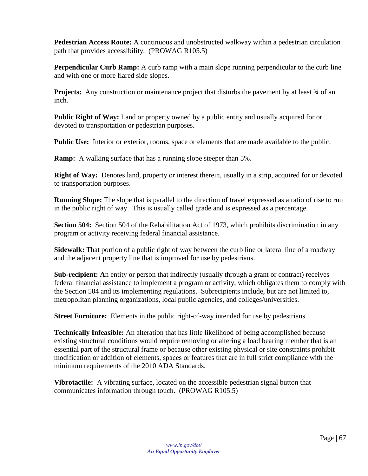**Pedestrian Access Route:** A continuous and unobstructed walkway within a pedestrian circulation path that provides accessibility. (PROWAG R105.5)

**Perpendicular Curb Ramp:** A curb ramp with a main slope running perpendicular to the curb line and with one or more flared side slopes.

**Projects:** Any construction or maintenance project that disturbs the pavement by at least 34 of an inch.

**Public Right of Way:** Land or property owned by a public entity and usually acquired for or devoted to transportation or pedestrian purposes.

**Public Use:** Interior or exterior, rooms, space or elements that are made available to the public.

**Ramp:** A walking surface that has a running slope steeper than 5%.

**Right of Way:** Denotes land, property or interest therein, usually in a strip, acquired for or devoted to transportation purposes.

**Running Slope:** The slope that is parallel to the direction of travel expressed as a ratio of rise to run in the public right of way. This is usually called grade and is expressed as a percentage.

**Section 504:** Section 504 of the Rehabilitation Act of 1973, which prohibits discrimination in any program or activity receiving federal financial assistance.

**Sidewalk:** That portion of a public right of way between the curb line or lateral line of a roadway and the adjacent property line that is improved for use by pedestrians.

**Sub-recipient: A**n entity or person that indirectly (usually through a grant or contract) receives federal financial assistance to implement a program or activity, which obligates them to comply with the Section 504 and its implementing regulations. Subrecipients include, but are not limited to, metropolitan planning organizations, local public agencies, and colleges/universities.

**Street Furniture:** Elements in the public right-of-way intended for use by pedestrians.

**Technically Infeasible:** An alteration that has little likelihood of being accomplished because existing structural conditions would require removing or altering a load bearing member that is an essential part of the structural frame or because other existing physical or site constraints prohibit modification or addition of elements, spaces or features that are in full strict compliance with the minimum requirements of the 2010 ADA Standards.

**Vibrotactile:** A vibrating surface, located on the accessible pedestrian signal button that communicates information through touch. (PROWAG R105.5)